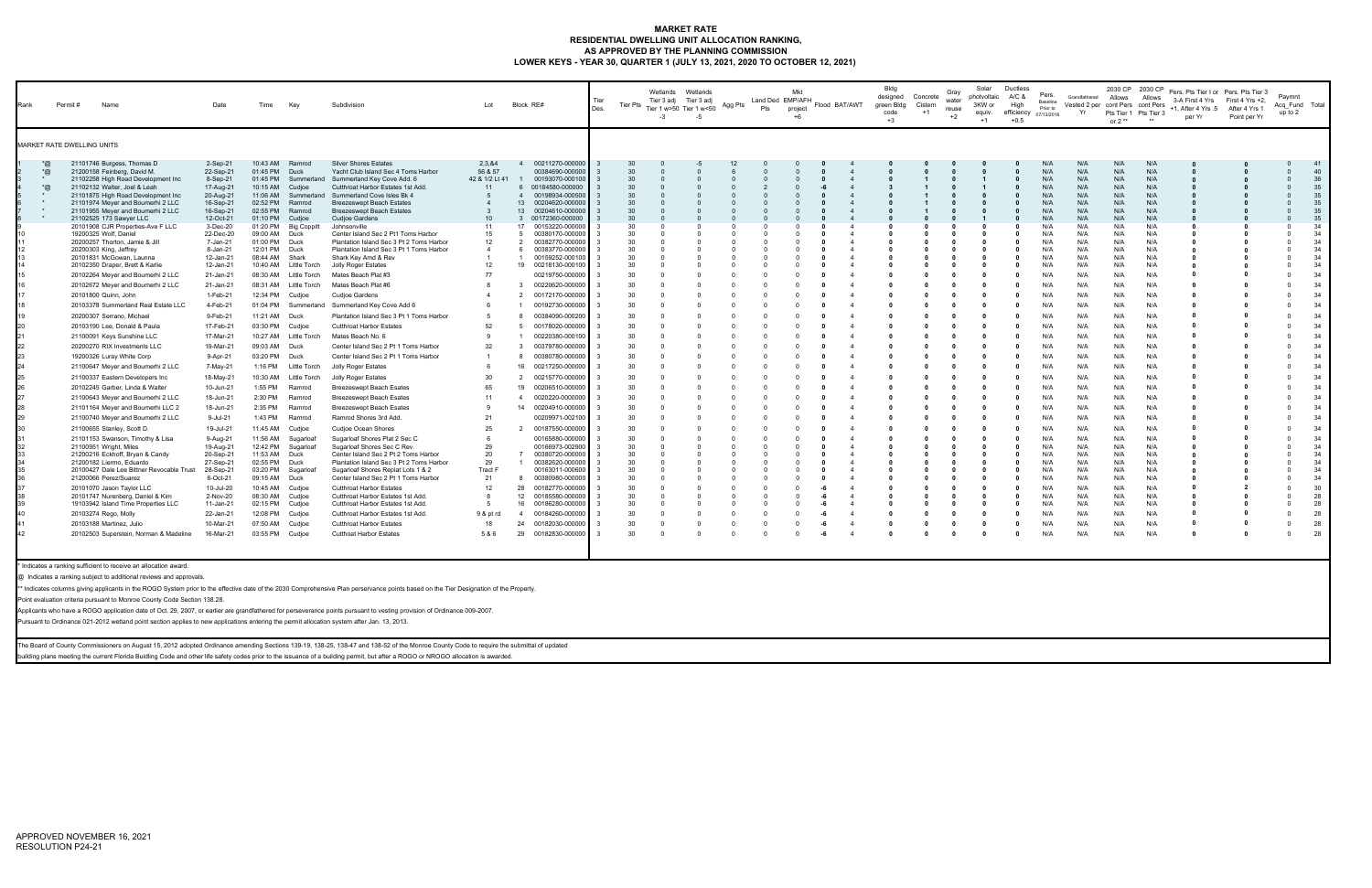## **MARKET RATE RESIDENTIAL DWELLING UNIT ALLOCATION RANKING, AS APPROVED BY THE PLANNING COMMISSION LOWER KEYS - YEAR 30, QUARTER 1 (JULY 13, 2021, 2020 TO OCTOBER 12, 2021)**

| Rank                                                               | Permit # | Name                                                                                                                                                                                                                                                                                                                                                                                                                                                                                                                                                                                                                                                                                                                                                                                                                                                                                                                                                                                                                                                                                                                                                                                                                                                                                                                                                                                        | Date                                                                                                                                                                                                                                                                                                                                                                                                                                                                                                                                               | Time                                                                                                                                                                                                                                                                                                                                                                                                                                                                                                     | Key                                                                                                                                                                                                                                                                                                                                                                                                                                                                                        | Subdivision                                                                                                                                                                                                                                                                                                                                                                                                                                                                                                                                                                                                                                                                                                                                                                                                                                                                                                                                                                                                                                                                                                                                                                                                                                                                                                                                                                                                          | Lot                                                                                                                                                                                                    | Block RE#                                                                                                                                                                                                                                                                                                                                                                                                                                                                                                                                                                                                                                                                                                                                                                                                                                                                                                                                                                                                                                                                                                | Tier<br>Des.                                                                                                                                                                             | Tier Pts                                                                                                                                                                                                                                                 | Wetlands Wetlands<br>Tier 3 adj Tier 3 adj<br>Tier 1 w>50 Tier 1 w<50<br>$-3$<br>$-5$                                                                                                                                                                                                                                                                                                                                 | Agg Pts                                                                                               | Pts      | Mkt<br>Land Ded EMP/AFH<br>project<br>$+6$ | Flood BAT/AWT                                                                                                                                                                                                                                                                                                                                                                                                                                                                                                  | Bldg<br>designed<br>green Bldg<br>code<br>$+3$                      | Concrete<br>Cistern<br>$+1$ | Gray<br>water<br>reuse<br>$+2$ | Solar<br>photvoltaic<br>3KW or<br>equiv.<br>$+1$ | Ductless<br>A/C &<br>High<br>efficiency $_{07/13/2016}$<br>$+0.5$                                                                                                                                                                                                                                                                                       | Pers.<br>Baseline<br>Prior to                                                                                                                                                                                                                                                                      | Grandfathered<br>Vested 2 per cont Pers cont Pers<br>Yr                                                                                                                                                                                                                                     | 2030 CP 2030 CP<br>Allows<br>Pts Tier 1 Pts Tier 3<br>or $2**$                                                                                                                                                                                                                                     | Allows                                                                                                                                                                                                                                                                                             | per Yr                                                                                                                                                                                                                                   | Pers. Pts Tier I or Pers. Pts Tier 3<br>3-A First 4 Yrs First 4 Yrs +2,<br>+1, After 4 Yrs .5 After 4 Yrs 1<br>Point per Yr                                                                                                                                                                                                                                                                                   | Paymnt<br>Acq_Fund Total<br>up to 2                                                                                                                                                                                                                                                                                                                                                                                                                                                                                         |                                                                                                                                                                                                                                                          |
|--------------------------------------------------------------------|----------|---------------------------------------------------------------------------------------------------------------------------------------------------------------------------------------------------------------------------------------------------------------------------------------------------------------------------------------------------------------------------------------------------------------------------------------------------------------------------------------------------------------------------------------------------------------------------------------------------------------------------------------------------------------------------------------------------------------------------------------------------------------------------------------------------------------------------------------------------------------------------------------------------------------------------------------------------------------------------------------------------------------------------------------------------------------------------------------------------------------------------------------------------------------------------------------------------------------------------------------------------------------------------------------------------------------------------------------------------------------------------------------------|----------------------------------------------------------------------------------------------------------------------------------------------------------------------------------------------------------------------------------------------------------------------------------------------------------------------------------------------------------------------------------------------------------------------------------------------------------------------------------------------------------------------------------------------------|----------------------------------------------------------------------------------------------------------------------------------------------------------------------------------------------------------------------------------------------------------------------------------------------------------------------------------------------------------------------------------------------------------------------------------------------------------------------------------------------------------|--------------------------------------------------------------------------------------------------------------------------------------------------------------------------------------------------------------------------------------------------------------------------------------------------------------------------------------------------------------------------------------------------------------------------------------------------------------------------------------------|----------------------------------------------------------------------------------------------------------------------------------------------------------------------------------------------------------------------------------------------------------------------------------------------------------------------------------------------------------------------------------------------------------------------------------------------------------------------------------------------------------------------------------------------------------------------------------------------------------------------------------------------------------------------------------------------------------------------------------------------------------------------------------------------------------------------------------------------------------------------------------------------------------------------------------------------------------------------------------------------------------------------------------------------------------------------------------------------------------------------------------------------------------------------------------------------------------------------------------------------------------------------------------------------------------------------------------------------------------------------------------------------------------------------|--------------------------------------------------------------------------------------------------------------------------------------------------------------------------------------------------------|----------------------------------------------------------------------------------------------------------------------------------------------------------------------------------------------------------------------------------------------------------------------------------------------------------------------------------------------------------------------------------------------------------------------------------------------------------------------------------------------------------------------------------------------------------------------------------------------------------------------------------------------------------------------------------------------------------------------------------------------------------------------------------------------------------------------------------------------------------------------------------------------------------------------------------------------------------------------------------------------------------------------------------------------------------------------------------------------------------|------------------------------------------------------------------------------------------------------------------------------------------------------------------------------------------|----------------------------------------------------------------------------------------------------------------------------------------------------------------------------------------------------------------------------------------------------------|-----------------------------------------------------------------------------------------------------------------------------------------------------------------------------------------------------------------------------------------------------------------------------------------------------------------------------------------------------------------------------------------------------------------------|-------------------------------------------------------------------------------------------------------|----------|--------------------------------------------|----------------------------------------------------------------------------------------------------------------------------------------------------------------------------------------------------------------------------------------------------------------------------------------------------------------------------------------------------------------------------------------------------------------------------------------------------------------------------------------------------------------|---------------------------------------------------------------------|-----------------------------|--------------------------------|--------------------------------------------------|---------------------------------------------------------------------------------------------------------------------------------------------------------------------------------------------------------------------------------------------------------------------------------------------------------------------------------------------------------|----------------------------------------------------------------------------------------------------------------------------------------------------------------------------------------------------------------------------------------------------------------------------------------------------|---------------------------------------------------------------------------------------------------------------------------------------------------------------------------------------------------------------------------------------------------------------------------------------------|----------------------------------------------------------------------------------------------------------------------------------------------------------------------------------------------------------------------------------------------------------------------------------------------------|----------------------------------------------------------------------------------------------------------------------------------------------------------------------------------------------------------------------------------------------------------------------------------------------------|------------------------------------------------------------------------------------------------------------------------------------------------------------------------------------------------------------------------------------------|---------------------------------------------------------------------------------------------------------------------------------------------------------------------------------------------------------------------------------------------------------------------------------------------------------------------------------------------------------------------------------------------------------------|-----------------------------------------------------------------------------------------------------------------------------------------------------------------------------------------------------------------------------------------------------------------------------------------------------------------------------------------------------------------------------------------------------------------------------------------------------------------------------------------------------------------------------|----------------------------------------------------------------------------------------------------------------------------------------------------------------------------------------------------------------------------------------------------------|
|                                                                    |          | MARKET RATE DWELLING UNITS                                                                                                                                                                                                                                                                                                                                                                                                                                                                                                                                                                                                                                                                                                                                                                                                                                                                                                                                                                                                                                                                                                                                                                                                                                                                                                                                                                  |                                                                                                                                                                                                                                                                                                                                                                                                                                                                                                                                                    |                                                                                                                                                                                                                                                                                                                                                                                                                                                                                                          |                                                                                                                                                                                                                                                                                                                                                                                                                                                                                            |                                                                                                                                                                                                                                                                                                                                                                                                                                                                                                                                                                                                                                                                                                                                                                                                                                                                                                                                                                                                                                                                                                                                                                                                                                                                                                                                                                                                                      |                                                                                                                                                                                                        |                                                                                                                                                                                                                                                                                                                                                                                                                                                                                                                                                                                                                                                                                                                                                                                                                                                                                                                                                                                                                                                                                                          |                                                                                                                                                                                          |                                                                                                                                                                                                                                                          |                                                                                                                                                                                                                                                                                                                                                                                                                       |                                                                                                       |          |                                            |                                                                                                                                                                                                                                                                                                                                                                                                                                                                                                                |                                                                     |                             |                                |                                                  |                                                                                                                                                                                                                                                                                                                                                         |                                                                                                                                                                                                                                                                                                    |                                                                                                                                                                                                                                                                                             |                                                                                                                                                                                                                                                                                                    |                                                                                                                                                                                                                                                                                                    |                                                                                                                                                                                                                                          |                                                                                                                                                                                                                                                                                                                                                                                                               |                                                                                                                                                                                                                                                                                                                                                                                                                                                                                                                             |                                                                                                                                                                                                                                                          |
| $^{\ast}$ @<br>*@<br>$^*$ @<br>$\star$<br>$\star$<br>$\rightarrow$ |          | 21101746 Burgess, Thomas D<br>21200158 Feinberg, David M.<br>21102258 High Road Development Inc<br>21102132 Walter, Joel & Leah<br>21101875 High Road Development Inc<br>21101974 Meyer and Boumerhi 2 LLC<br>21101955 Meyer and Boumerhi 2 LLC<br>21102525 173 Sawyer LLC<br>20101908 CJR Properties-Ave F LLC<br>19200325 Wolf, Daniel<br>20200257 Thorton, Jamie & Jill<br>20200303 King, Jeffrey<br>20101831 McGowan, Launna<br>20102350 Draper, Brett & Karlie<br>20102264 Meyer and Boumerhi 2 LLC<br>20102672 Meyer and Boumerhi 2 LLC<br>20101800 Quinn, John<br>20103378 Summerland Real Estate LLC<br>20200307 Serrano, Michael<br>20103190 Lee, Donald & Paula<br>21100091 Keys Sunshine LLC<br>20200270 RIX Investments LLC<br>19200326 Luray White Corp<br>21100647 Meyer and Boumerhi 2 LLC<br>21100337 Eastern Developers Inc<br>20102245 Garber, Linda & Walter<br>21100643 Meyer and Boumerhi 2 LLC<br>21101164 Meyer and Boumerhi LLC 2<br>21100740 Meyer and Boumerhi 2 LLC<br>21100655 Stanley, Scott D.<br>21101153 Swanson, Timothy & Lisa<br>21100951 Wright, Miles<br>21200216 Eckhoff, Bryan & Candy<br>21200182 Liermo, Eduardo<br>20100427 Dale Lee Bittner Revocable Trust<br>21200066 Perez/Suarez<br>20101070 Jason Taylor LLC<br>20101747 Nurenberg, Daniel & Kim<br>19103942 Island Time Properties LLC<br>20103274 Rego, Molly<br>20103188 Martinez, Julio | 2-Sep-21<br>22-Sep-21<br>8-Sep-21<br>17-Aug-21<br>20-Aug-21<br>16-Sep-21<br>16-Sep-21<br>12-Oct-21<br>3-Dec-20<br>22-Dec-20<br>7-Jan-21<br>8-Jan-21<br>12-Jan-21<br>12-Jan-21<br>21-Jan-21<br>21-Jan-21<br>$1-Feb-21$<br>4-Feb-21<br>9-Feb-21<br>17-Feb-21<br>17-Mar-21<br>19-Mar-21<br>9-Apr-21<br>7-May-21<br>18-May-21<br>10-Jun-21<br>18-Jun-21<br>18-Jun-21<br>9-Jul-21<br>19-Jul-21<br>9-Aug-21<br>19-Aug-21<br>20-Sep-21<br>27-Sep-21<br>28-Sep-21<br>6-Oct-21<br>10-Jul-20<br>2-Nov-20<br>11-Jan-21<br>22-Jan-21<br>10-Mar-21<br>16-Mar-21 | 10:43 AM<br>01:45 PM<br>01:45 PM<br>10:15 AM<br>11:06 AM<br>02:52 PM<br>02:55 PM<br>01:10 PM<br>01:20 PM<br>09:00 AM<br>01:00 PM<br>12:01 PM<br>08:44 AM<br>10:40 AM<br>08:30 AM<br>08:31 AM<br>12:34 PM<br>01:04 PM<br>11:21 AM<br>03:30 PM<br>10:27 AM<br>09:03 AM<br>03:20 PM Duck<br>1:16 PM<br>10:30 AM<br>1:55 PM<br>2:30 PM<br>2:35 PM<br>1:43 PM<br>11:45 AM<br>11:56 AM<br>12:42 PM<br>11:53 AM<br>02:55 PM<br>03:20 PM<br>09:15 AM<br>10:45 AM<br>08:30 AM<br>02:15 PM<br>12:08 PM<br>07:50 AM | Ramrod<br>Duck<br>Summerland<br>Cudjoe<br>Summerland<br>Ramrod<br>Ramrod<br>Cudjoe<br><b>Big Coppitt</b><br>Duck<br>Duck<br>Duck<br>Shark<br>Little Torch<br><b>Little Torch</b><br><b>Little Torch</b><br>Cudioe<br>Summerland<br>Duck<br>Cudjoe<br><b>Little Torch</b><br>Duck<br>Little Torch<br><b>Little Torch</b><br>Ramrod<br>Ramrod<br>Ramrod<br>Ramrod<br>Cudjoe<br>Sugarloaf<br>Sugarloaf<br>Duck<br>Duck<br>Sugarloaf<br>Duck<br>Cudioe<br>Cudjoe<br>Cudjoe<br>Cudioe<br>Cudjoe | <b>Silver Shores Estates</b><br>Yacht Club Island Sec 4 Toms Harbor<br>Summerland Key Cove Add. 6<br>Cutthroat Harbor Estates 1st Add.<br>Summerland Cove Isles Bk 4<br><b>Breezeswept Beach Estates</b><br><b>Breezeswept Beach Estates</b><br><b>Cudjoe Gardens</b><br>Johnsonville<br>Center Island Sec 2 Pt1 Toms Harbor<br>Plantation Island Sec 3 Pt 2 Toms Harbor<br>Plantation Island Sec 3 Pt 1 Toms Harbor<br>Shark Key Amd & Rev<br>Jolly Roger Estates<br>Mates Beach Plat #3<br>Mates Beach Plat #6<br><b>Cudjoe Gardens</b><br>Summerland Key Cove Add 6<br>Plantation Island Sec 3 Pt 1 Toms Harbor<br><b>Cutthroat Harbor Estates</b><br>Mates Beach No. 6<br>Center Island Sec 2 Pt 1 Toms Harbor<br>Center Island Sec 2 Pt 1 Toms Harbor<br>Jolly Roger Estates<br>Jolly Roger Estates<br>Breezeswept Beach Esates<br><b>Breezeswept Beach Esates</b><br><b>Breezeswept Beach Esates</b><br>Ramrod Shores 3rd Add.<br>Cudjoe Ocean Shores<br>Sugarloaf Shores Plat 2 Sec C<br>Sugarloaf Shores Sec C Rev.<br>Center Island Sec 2 Pt 2 Toms Harbor<br>Plantation Island Sec 3 Pt 2 Toms Harbor<br>Sugarloaf Shores Replat Lots 1 & 2<br>Center Island Sec 2 Pt 1 Toms Harbor<br><b>Cutthroat Harbor Estates</b><br>Cutthroat Harbor Estates 1st Add.<br>Cutthroat Harbor Estates 1st Add.<br>Cutthroat Harbor Estates 1st Add.<br><b>Cutthroat Harbor Estates</b><br><b>Cutthoat Harbor Estates</b> | 2,3,84<br>56 & 57<br>11<br>10<br>11<br>15<br>12<br>$\overline{4}$<br>12<br>77<br>52<br>-9<br>32<br>- 6<br>30<br>65<br>11<br>-9<br>21<br>25<br>29<br>20<br>29<br>Tract F<br>21<br>12<br>9 & pt rd<br>18 | 00211270-000000<br>$\overline{4}$<br>00384690-000000<br>42 & 1/2 Lt 41  1  00193070-000100<br>00184580-000000<br>6<br>$\overline{4}$<br>00198934-000500<br>13<br>00204620-000000<br>13<br>00204610-00000<br>-3<br>00172360-000000<br>17<br>00153220-00000<br>- 5<br>00380170-00000<br>$\overline{2}$<br>00382770-00000<br>00383770-000000<br>- 6<br>00159252-000100<br>19<br>00218130-000100<br>00219750-00000<br>00220620-000000<br>- 3<br>00172170-000000<br>$\overline{2}$<br>00192730-00000<br>00384090-000200<br>- 5<br>00178020-000000<br>00220380-000100<br>00379780-000000<br>$\mathbf{3}$<br>8<br>00380780-00000<br>16<br>00217250-000000<br>2<br>00215770-000000<br>19<br>00206510-000000<br>$\overline{4}$<br>0020220-0000000<br>14 00204910-000000<br>00209971-002100<br>00187550-000000<br>$\overline{2}$<br>00165880-00000<br>00166973-002900<br>00380720-000000<br>00382620-000000<br>$\overline{1}$<br>00163011-000600<br>-8<br>00380980-000000<br>28<br>00182770-000000<br>12<br>00185580-000000<br>16<br>00186280-000000<br>$\overline{4}$<br>00184260-000000<br>24<br>00182030-000000 | $\mathbf{3}$<br>-3<br>-3<br>-3<br>-3<br>$\mathbf{3}$<br>$\mathbf{3}$<br>$\mathcal{R}$<br>$\mathbf{B}$<br>- 3<br>$\mathbf{3}$<br>-3<br>$\mathbf{3}$<br>$\mathbf{3}$<br>-3<br>$\mathbf{3}$ | 30<br>30<br>30<br>30<br>30<br>30<br>30<br>30<br>30<br>30<br>30<br>30<br>30<br>30<br>30<br>30<br>30<br>30<br>30<br>30<br>30<br>30<br>30<br>30<br>30<br>30<br>30<br>30<br>30<br>30<br>30<br>30<br>30<br>30<br>30<br>30<br>30<br>30<br>30<br>30<br>30<br>30 | $\Omega$<br>$\Omega$<br>$\Omega$<br>- 0<br>- 0<br>0<br>- 0<br>$\Omega$<br>$\overline{0}$<br>$\Omega$<br>$\Omega$<br>$\Omega$<br>$\Omega$<br>$\Omega$<br>$\Omega$<br>$\Omega$<br>$\overline{\mathbf{0}}$<br>$\Omega$<br>$\Omega$<br>$\Omega$<br>$\Omega$<br>$\Omega$<br>$\Omega$<br>$\Omega$<br>$\Omega$<br>- 0<br>- 0<br>- 0<br>$\Omega$<br>$\Omega$<br>0<br>$\overline{0}$<br>$\Omega$<br>$\overline{0}$<br>$\Omega$ | - 0<br>$\cap$<br>- 0<br>$\Omega$<br>$\cap$<br>$\Omega$<br>$\mathsf{C}$<br>$\Omega$<br>$\Omega$<br>- 0 | $\Omega$ | $\Omega$<br>$\Omega$<br>$\Omega$           | $\overline{4}$<br>$\overline{4}$<br>$\overline{4}$<br>$\overline{4}$<br>$\overline{4}$<br>$\overline{4}$<br>$\overline{4}$<br>$\overline{4}$<br>$\overline{4}$<br>$\overline{4}$<br>$\overline{4}$<br>$\overline{4}$<br>$\overline{4}$<br>$\overline{4}$<br>$\overline{4}$<br>$\overline{4}$<br>$\overline{4}$<br>$\overline{4}$<br>$\overline{4}$<br>-4<br>$\overline{4}$<br>$\overline{4}$<br>$\overline{4}$<br>-6<br>-6<br>$\overline{4}$<br>-6<br>$\overline{4}$<br>$\overline{4}$<br>-6<br>$\overline{4}$ | 0<br>- 0<br>$\Omega$<br>$\Omega$<br>- 0<br>- 0<br>0<br>$\mathbf{0}$ | 0<br>- 0<br>- 0<br>0<br>- 0 |                                | $\Omega$<br>$\Omega$<br>- 0<br>$\Omega$          | $\mathbf{0}$<br>$\mathbf{0}$<br>$\mathbf 0$<br>$\mathbf{0}$<br>$\mathbf{0}$<br>$\mathbf{0}$<br>$\mathbf{0}$<br>0<br>$\Omega$<br>$\mathbf 0$<br>$\mathbf{0}$<br>$\mathbf{0}$<br>$\mathbf{0}$<br>$\mathbf{0}$<br>0<br>$\mathbf{0}$<br>$\Omega$<br>$\mathbf{0}$<br>$\mathbf{a}$<br>$\mathbf{0}$<br>0<br>$\Omega$<br>0<br>0<br>$\mathbf{0}$<br>$\mathbf{0}$ | N/A<br>N/A<br>N/A<br>N/A<br>N/A<br>N/A<br>N/A<br>N/A<br>N/A<br>N/A<br>N/A<br>N/A<br>N/A<br>N/A<br>N/A<br>N/A<br>N/A<br>N/A<br>N/A<br>N/A<br>N/A<br>N/A<br>N/A<br>N/A<br>N/A<br>N/A<br>N/A<br>N/A<br>N/A<br>N/A<br>N/A<br>N/A<br>N/A<br>N/A<br>N/A<br>N/A<br>N/A<br>N/A<br>N/A<br>N/A<br>N/A<br>N/A | N/A<br>N/A<br>N/A<br>N/A<br>N/A<br>N/A<br>N/A<br>N/A<br>N/A<br>N/A<br>N/A<br>N/A<br>N/A<br>N/A<br>N/A<br>N/A<br>N/A<br>N/A<br>N/A<br>N/A<br>N/A<br>N/A<br>N/A<br>N/A<br>N/A<br>N/A<br>N/A<br>N/A<br>N/A<br>N/A<br>N/A<br>N/A<br>N/A<br>N/A<br>N/A<br>N/A<br>N/A<br>N/A<br>N/A<br>N/A<br>N/A | N/A<br>N/A<br>N/A<br>N/A<br>N/A<br>N/A<br>N/A<br>N/A<br>N/A<br>N/A<br>N/A<br>N/A<br>N/A<br>N/A<br>N/A<br>N/A<br>N/A<br>N/A<br>N/A<br>N/A<br>N/A<br>N/A<br>N/A<br>N/A<br>N/A<br>N/A<br>N/A<br>N/A<br>N/A<br>N/A<br>N/A<br>N/A<br>N/A<br>N/A<br>N/A<br>N/A<br>N/A<br>N/A<br>N/A<br>N/A<br>N/A<br>N/A | N/A<br>N/A<br>N/A<br>N/A<br>N/A<br>N/A<br>N/A<br>N/A<br>N/A<br>N/A<br>N/A<br>N/A<br>N/A<br>N/A<br>N/A<br>N/A<br>N/A<br>N/A<br>N/A<br>N/A<br>N/A<br>N/A<br>N/A<br>N/A<br>N/A<br>N/A<br>N/A<br>N/A<br>N/A<br>N/A<br>N/A<br>N/A<br>N/A<br>N/A<br>N/A<br>N/A<br>N/A<br>N/A<br>N/A<br>N/A<br>N/A<br>N/A | - 0<br>- 0<br>$\mathbf 0$<br>$\Omega$<br>$\mathbf 0$<br>$\Omega$<br>0<br>$\Omega$<br>0<br>$\Omega$<br>$\mathbf{0}$<br>0<br>0<br>$\Omega$<br>0<br>$^{\circ}$<br>0<br>$\Omega$<br>$\Omega$<br>- 0<br>- 0<br>0<br>- 0<br>0<br>0<br>$\Omega$ | $\mathbf 0$<br>$\mathbf{0}$<br>$\mathbf{0}$<br>$\mathbf{0}$<br>$\mathbf 0$<br>$\mathbf{0}$<br>$\mathbf 0$<br>$\mathbf{0}$<br>$\mathbf{0}$<br>$\mathbf 0$<br>$\mathbf{0}$<br>$\mathbf{0}$<br>$\mathbf 0$<br>$\mathbf{0}$<br>$\mathbf 0$<br>$\mathbf{0}$<br>$\mathbf{0}$<br>$\mathbf{a}$<br>- 0<br>0<br>0<br>- 0<br>$\overline{2}$<br>$\mathbf{0}$<br>$\mathbf 0$<br>$\mathbf 0$<br>$\mathbf 0$<br>$\mathbf{0}$ | $\Omega$<br>$\mathbf{0}$<br>$\Omega$<br>$\Omega$<br>$\Omega$<br>$\Omega$<br>$\mathbf{0}$<br>$\Omega$<br>$\Omega$<br>$\Omega$<br>$\Omega$<br>$\Omega$<br>$\Omega$<br>$\Omega$<br>$\mathbf 0$<br>$\Omega$<br>$\mathbf 0$<br>$\Omega$<br>$\Omega$<br>$\Omega$<br>$\Omega$<br>$\mathbf 0$<br>$\mathbf 0$<br>$\Omega$<br>$\mathbf 0$<br>$\Omega$<br>$\Omega$<br>$\Omega$<br>$\Omega$<br>$\Omega$<br>$\Omega$<br>$\Omega$<br>0<br>$\Omega$<br>$\Omega$<br>$\Omega$<br>$\Omega$<br>$\Omega$<br>$\Omega$<br>$\mathbf 0$<br>$\Omega$ | 41<br>40<br>36<br>35<br>35<br>35<br>35<br>35<br>34<br>34<br>34<br>34<br>34<br>34<br>34<br>34<br>34<br>34<br>34<br>34<br>34<br>34<br>34<br>34<br>34<br>34<br>34<br>34<br>34<br>34<br>34<br>34<br>34<br>34<br>34<br>34<br>30<br>28<br>28<br>28<br>28<br>28 |
| 42                                                                 |          | 20102503 Superstein, Norman & Madeline<br>Indicates a ranking sufficient to receive an allocation award.<br>@ Indicates a ranking subject to additional reviews and approvals.                                                                                                                                                                                                                                                                                                                                                                                                                                                                                                                                                                                                                                                                                                                                                                                                                                                                                                                                                                                                                                                                                                                                                                                                              |                                                                                                                                                                                                                                                                                                                                                                                                                                                                                                                                                    | 03:55 PM Cudjoe                                                                                                                                                                                                                                                                                                                                                                                                                                                                                          |                                                                                                                                                                                                                                                                                                                                                                                                                                                                                            |                                                                                                                                                                                                                                                                                                                                                                                                                                                                                                                                                                                                                                                                                                                                                                                                                                                                                                                                                                                                                                                                                                                                                                                                                                                                                                                                                                                                                      | 5 & 6                                                                                                                                                                                                  | 29<br>00182830-000000                                                                                                                                                                                                                                                                                                                                                                                                                                                                                                                                                                                                                                                                                                                                                                                                                                                                                                                                                                                                                                                                                    |                                                                                                                                                                                          |                                                                                                                                                                                                                                                          |                                                                                                                                                                                                                                                                                                                                                                                                                       |                                                                                                       |          |                                            |                                                                                                                                                                                                                                                                                                                                                                                                                                                                                                                |                                                                     |                             |                                |                                                  |                                                                                                                                                                                                                                                                                                                                                         |                                                                                                                                                                                                                                                                                                    | N/A                                                                                                                                                                                                                                                                                         |                                                                                                                                                                                                                                                                                                    |                                                                                                                                                                                                                                                                                                    |                                                                                                                                                                                                                                          |                                                                                                                                                                                                                                                                                                                                                                                                               |                                                                                                                                                                                                                                                                                                                                                                                                                                                                                                                             |                                                                                                                                                                                                                                                          |
|                                                                    |          | Point evaluation criteria pursuant to Monroe County Code Section 138.28                                                                                                                                                                                                                                                                                                                                                                                                                                                                                                                                                                                                                                                                                                                                                                                                                                                                                                                                                                                                                                                                                                                                                                                                                                                                                                                     |                                                                                                                                                                                                                                                                                                                                                                                                                                                                                                                                                    |                                                                                                                                                                                                                                                                                                                                                                                                                                                                                                          |                                                                                                                                                                                                                                                                                                                                                                                                                                                                                            | * Indicates columns giving applicants in the ROGO System prior to the effective date of the 2030 Comprehensive Plan perservance points based on the Tier Designation of the Property.<br>Applicants who have a ROGO application date of Oct. 29, 2007, or earlier are grandfathered for perseverance points pursuant to vesting provision of Ordinance 009-2007.                                                                                                                                                                                                                                                                                                                                                                                                                                                                                                                                                                                                                                                                                                                                                                                                                                                                                                                                                                                                                                                     |                                                                                                                                                                                                        |                                                                                                                                                                                                                                                                                                                                                                                                                                                                                                                                                                                                                                                                                                                                                                                                                                                                                                                                                                                                                                                                                                          |                                                                                                                                                                                          |                                                                                                                                                                                                                                                          |                                                                                                                                                                                                                                                                                                                                                                                                                       |                                                                                                       |          |                                            |                                                                                                                                                                                                                                                                                                                                                                                                                                                                                                                |                                                                     |                             |                                |                                                  |                                                                                                                                                                                                                                                                                                                                                         |                                                                                                                                                                                                                                                                                                    |                                                                                                                                                                                                                                                                                             |                                                                                                                                                                                                                                                                                                    |                                                                                                                                                                                                                                                                                                    |                                                                                                                                                                                                                                          |                                                                                                                                                                                                                                                                                                                                                                                                               |                                                                                                                                                                                                                                                                                                                                                                                                                                                                                                                             |                                                                                                                                                                                                                                                          |
|                                                                    |          | Pursuant to Ordinance 021-2012 wetland point section applies to new applications entering the permit allocation system after Jan. 13, 2013.                                                                                                                                                                                                                                                                                                                                                                                                                                                                                                                                                                                                                                                                                                                                                                                                                                                                                                                                                                                                                                                                                                                                                                                                                                                 |                                                                                                                                                                                                                                                                                                                                                                                                                                                                                                                                                    |                                                                                                                                                                                                                                                                                                                                                                                                                                                                                                          |                                                                                                                                                                                                                                                                                                                                                                                                                                                                                            |                                                                                                                                                                                                                                                                                                                                                                                                                                                                                                                                                                                                                                                                                                                                                                                                                                                                                                                                                                                                                                                                                                                                                                                                                                                                                                                                                                                                                      |                                                                                                                                                                                                        |                                                                                                                                                                                                                                                                                                                                                                                                                                                                                                                                                                                                                                                                                                                                                                                                                                                                                                                                                                                                                                                                                                          |                                                                                                                                                                                          |                                                                                                                                                                                                                                                          |                                                                                                                                                                                                                                                                                                                                                                                                                       |                                                                                                       |          |                                            |                                                                                                                                                                                                                                                                                                                                                                                                                                                                                                                |                                                                     |                             |                                |                                                  |                                                                                                                                                                                                                                                                                                                                                         |                                                                                                                                                                                                                                                                                                    |                                                                                                                                                                                                                                                                                             |                                                                                                                                                                                                                                                                                                    |                                                                                                                                                                                                                                                                                                    |                                                                                                                                                                                                                                          |                                                                                                                                                                                                                                                                                                                                                                                                               |                                                                                                                                                                                                                                                                                                                                                                                                                                                                                                                             |                                                                                                                                                                                                                                                          |

The Board of County Commissioners on August 15, 2012 adopted Ordinance amending Sections 139-19, 138-25, 138-47 and 138-52 of the Monroe County Code to require the submittal of updated

building plans meeting the current Florida Buidling Code and other life safety codes prior to the issuance of a building permit, but after a ROGO or NROGO allocation is awarded.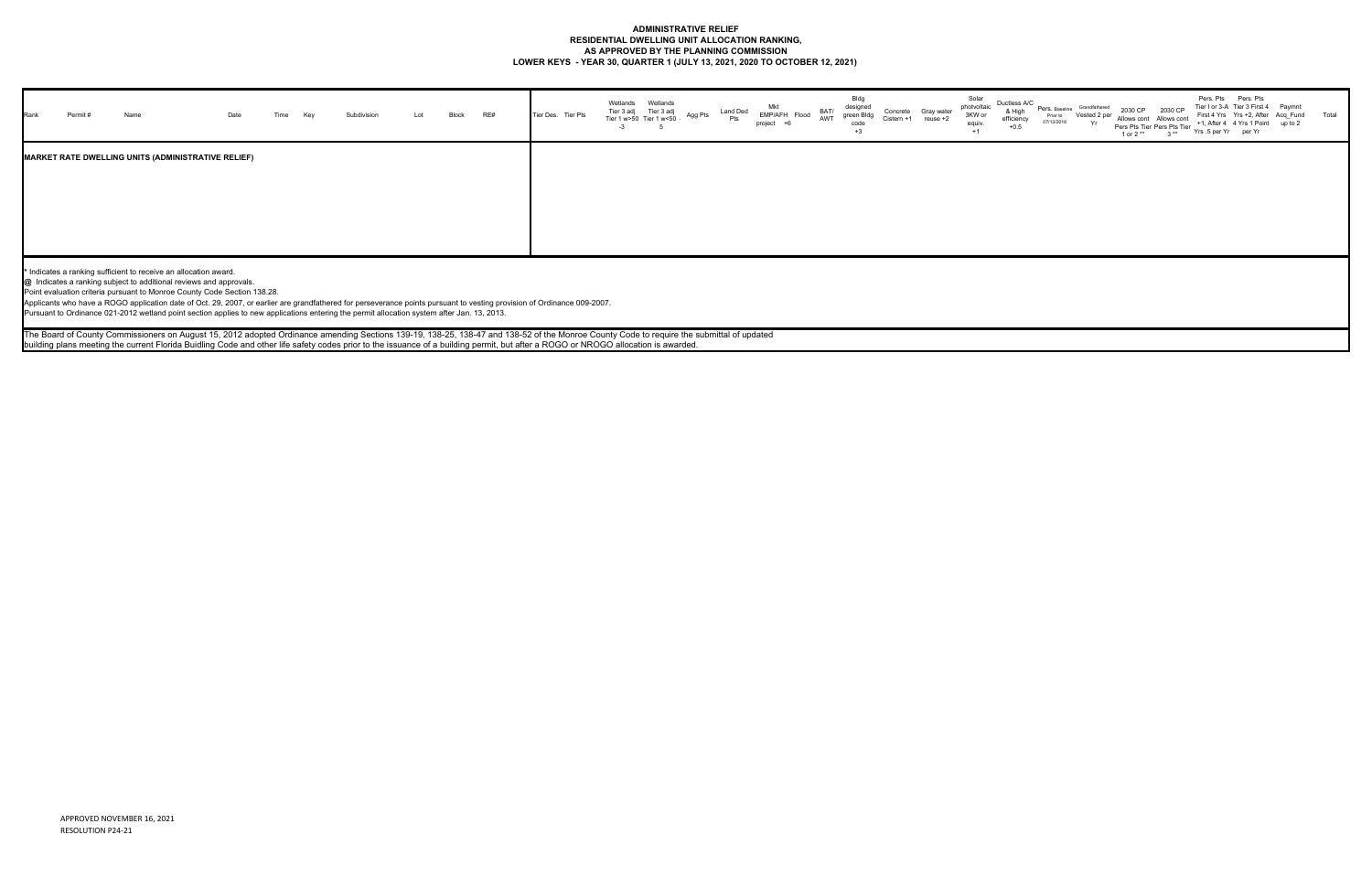## **ADMINISTRATIVE RELIEF RESIDENTIAL DWELLING UNIT ALLOCATION RANKING, AS APPROVED BY THE PLANNING COMMISSION LOWER KEYS - YEAR 30, QUARTER 1 (JULY 13, 2021, 2020 TO OCTOBER 12, 2021)**

| Rank | Name                                                             |                                                                                                                                                                                                                                                                                                                                                                                                                                                                                                                                                                                                                                                                                                                                                                                                                                                           |  |  | Block | RE# | Tier Des. Tier Pts | Tier 3 adj<br>Tier 1 w>50 | Tier 3 adj<br>Tier 1 w<50 | Agg Pts | Land Ded | Mkt<br>EMP/AFH Flood<br>project | BAT/<br>AWT | Bldg<br>designed<br>Concrete<br>green Blda<br>code<br>$+3$ | Gray wate | Solar<br>photvoltaic<br>3KW or<br>equiv.<br>$+1$ | Ductless A/C<br>& High<br>efficiency<br>$+0.5$ | Pers. Baseline<br>Prior to<br>07/13/2016 | Grandfathered | 2030 CP<br>1 or $2**$ | 2030 CF<br>Allows cont Allows cont<br>Pers Pts Tier Pers Pts Tier<br>$3**$ | Pers. Pts Pers. Pts<br>First 4 Yrs Yrs +2, After Acq Fund<br>Yrs .5 per Yr per Yr | Tier I or 3-A Tier 3 First 4 Paymn<br>+1, After 4 4 Yrs 1 Point up to 2 | Total |
|------|------------------------------------------------------------------|-----------------------------------------------------------------------------------------------------------------------------------------------------------------------------------------------------------------------------------------------------------------------------------------------------------------------------------------------------------------------------------------------------------------------------------------------------------------------------------------------------------------------------------------------------------------------------------------------------------------------------------------------------------------------------------------------------------------------------------------------------------------------------------------------------------------------------------------------------------|--|--|-------|-----|--------------------|---------------------------|---------------------------|---------|----------|---------------------------------|-------------|------------------------------------------------------------|-----------|--------------------------------------------------|------------------------------------------------|------------------------------------------|---------------|-----------------------|----------------------------------------------------------------------------|-----------------------------------------------------------------------------------|-------------------------------------------------------------------------|-------|
|      |                                                                  | <b>MARKET RATE DWELLING UNITS (ADMINISTRATIVE RELIEF)</b>                                                                                                                                                                                                                                                                                                                                                                                                                                                                                                                                                                                                                                                                                                                                                                                                 |  |  |       |     |                    |                           |                           |         |          |                                 |             |                                                            |           |                                                  |                                                |                                          |               |                       |                                                                            |                                                                                   |                                                                         |       |
|      | * Indicates a ranking sufficient to receive an allocation award. | @ Indicates a ranking subject to additional reviews and approvals.<br>Point evaluation criteria pursuant to Monroe County Code Section 138.28.<br>Applicants who have a ROGO application date of Oct. 29, 2007, or earlier are grandfathered for perseverance points pursuant to vesting provision of Ordinance 009-2007.<br>Pursuant to Ordinance 021-2012 wetland point section applies to new applications entering the permit allocation system after Jan. 13, 2013.<br>The Board of County Commissioners on August 15, 2012 adopted Ordinance amending Sections 139-19, 138-25, 138-47 and 138-52 of the Monroe County Code to require the submittal of updated<br>building plans meeting the current Florida Buidling Code and other life safety codes prior to the issuance of a building permit, but after a ROGO or NROGO allocation is awarded. |  |  |       |     |                    |                           |                           |         |          |                                 |             |                                                            |           |                                                  |                                                |                                          |               |                       |                                                                            |                                                                                   |                                                                         |       |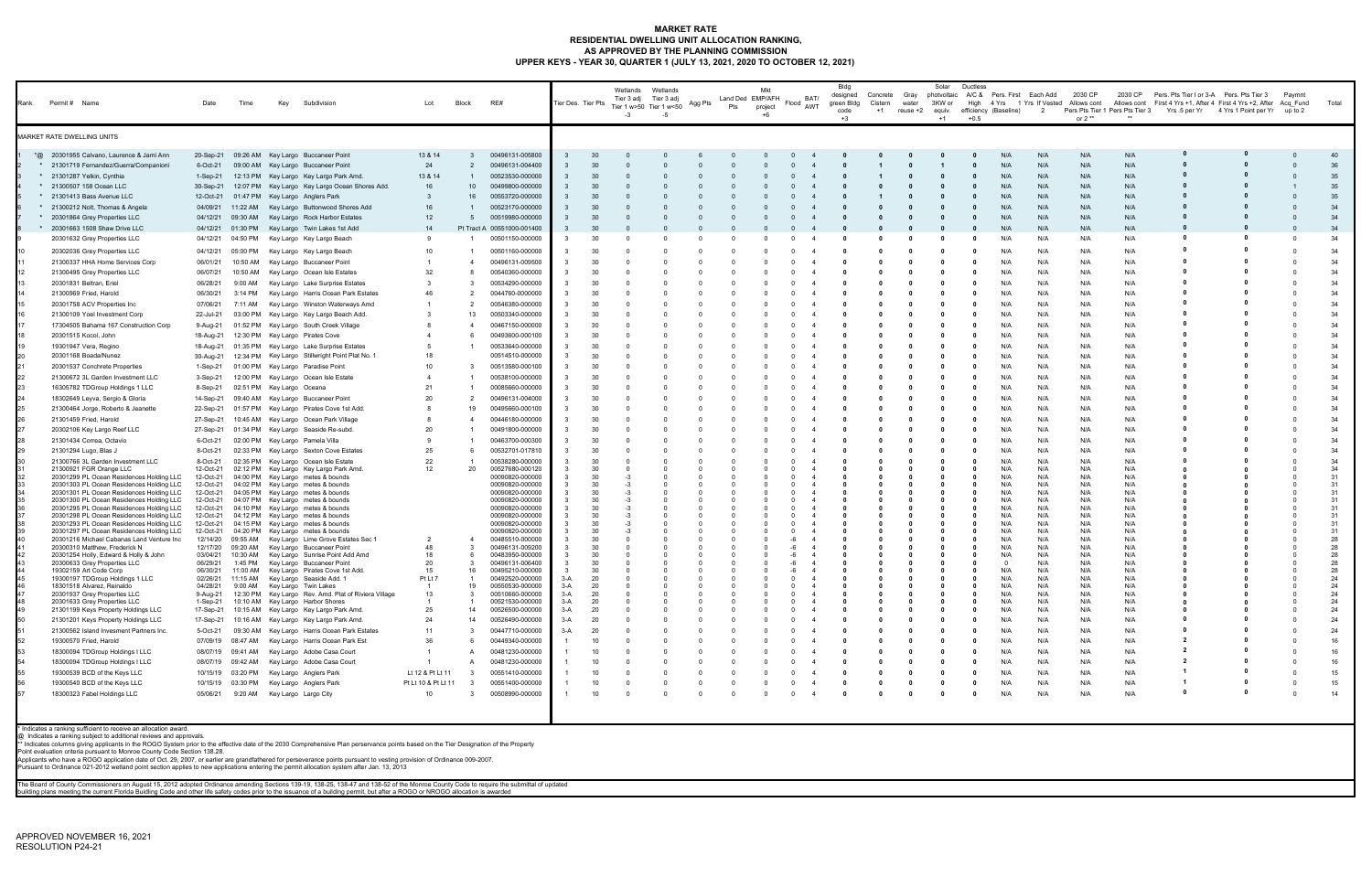#### **MARKET RATE RESIDENTIAL DWELLING UNIT ALLOCATION RANKING, AS APPROVED BY THE PLANNING COMMISSION UPPER KEYS - YEAR 30, QUARTER 1 (JULY 13, 2021, 2020 TO OCTOBER 12, 2021)**

| Rank Permit # Name |                                                                                                                                                                                                                                                                                                                                                                | Date                   | Time                | Key<br>Subdivision                                                                                                                                                                                                                                                                                                                                            | Lot                 | Block                | RE#                                | Tier Des. Tier Pts |           | Wetlands<br>Tier 3 adj<br>$-3$ | Wetlands<br>Tier 3 adj<br>Tier 1 w>50 Tier 1 w<50<br>-5 | Agg Pts | Land Ded EMP/AFH<br>Pts | Mkt<br>project<br>+6 | BAT/<br>Flood<br>AWT       | Bldg<br>designed<br>green Bldg<br>code<br>$+3$ | Concrete<br>Cistern<br>$+1$ | Gray<br>water<br>reuse +2 | Solar<br>photvoltaic<br>3KW or<br>equiv.<br>$+1$ | Ductless<br>High<br>$+0.5$ | A/C & Pers. First Each Add<br>efficiency (Baseline) | $\overline{2}$ | 2030 CP<br>4 Yrs 1 Yrs If Vested Allows cont<br>or 2 $**$ | 2030 CP<br>Pers Pts Tier 1 Pers Pts Tier 3 | Pers. Pts Tier I or 3-A Pers. Pts Tier 3 | Allows cont First 4 Yrs +1, After 4 First 4 Yrs +2, After Acq Fund<br>Yrs.5 per Yr 4 Yrs 1 Point per Yr up to 2 | Paymnt | Total    |
|--------------------|----------------------------------------------------------------------------------------------------------------------------------------------------------------------------------------------------------------------------------------------------------------------------------------------------------------------------------------------------------------|------------------------|---------------------|---------------------------------------------------------------------------------------------------------------------------------------------------------------------------------------------------------------------------------------------------------------------------------------------------------------------------------------------------------------|---------------------|----------------------|------------------------------------|--------------------|-----------|--------------------------------|---------------------------------------------------------|---------|-------------------------|----------------------|----------------------------|------------------------------------------------|-----------------------------|---------------------------|--------------------------------------------------|----------------------------|-----------------------------------------------------|----------------|-----------------------------------------------------------|--------------------------------------------|------------------------------------------|-----------------------------------------------------------------------------------------------------------------|--------|----------|
|                    | MARKET RATE DWELLING UNITS                                                                                                                                                                                                                                                                                                                                     |                        |                     |                                                                                                                                                                                                                                                                                                                                                               |                     |                      |                                    |                    |           |                                |                                                         |         |                         |                      |                            |                                                |                             |                           |                                                  |                            |                                                     |                |                                                           |                                            |                                          |                                                                                                                 |        |          |
|                    | *@ 20301955 Calvano, Laurence & Jami Ann                                                                                                                                                                                                                                                                                                                       |                        |                     | 20-Sep-21 09:26 AM Key Largo Buccaneer Point                                                                                                                                                                                                                                                                                                                  | 13 & 14             | $\mathbf{3}$         | 00496131-005800                    |                    |           |                                |                                                         |         |                         |                      |                            |                                                |                             |                           |                                                  |                            | N/A                                                 | N/A            | N/A                                                       | N/A                                        |                                          |                                                                                                                 |        | 40       |
|                    | * 21301719 Fernandez/Guerra/Companioni                                                                                                                                                                                                                                                                                                                         | 6-Oct-21               |                     | 09:00 AM Key Largo Buccaneer Point                                                                                                                                                                                                                                                                                                                            | 24                  | 2                    | 00496131-004400                    |                    |           |                                |                                                         |         |                         |                      |                            |                                                |                             |                           |                                                  |                            | N/A                                                 | N/A            | N/A                                                       | N/A                                        |                                          |                                                                                                                 |        | 36       |
|                    | * 21301287 Yelkin, Cynthia                                                                                                                                                                                                                                                                                                                                     |                        |                     | 1-Sep-21 12:13 PM Key Largo Key Largo Park Amd.                                                                                                                                                                                                                                                                                                               | 13 & 14             | $\overline{1}$       | 00523530-000000                    |                    |           |                                |                                                         |         |                         |                      |                            |                                                |                             |                           |                                                  | 0                          | N/A                                                 | N/A            | N/A                                                       | N/A                                        |                                          |                                                                                                                 |        | 35       |
|                    | * 21300507 158 Ocean LLC<br>* 21301413 Bass Avenue LLC                                                                                                                                                                                                                                                                                                         | 30-Sep-21<br>12-Oct-21 |                     | 12:07 PM Key Largo Key Largo Ocean Shores Add.<br>01:47 PM Key Largo Anglers Park                                                                                                                                                                                                                                                                             | 16<br>3             | 10<br>16             | 00499800-000000<br>00553720-000000 |                    |           |                                |                                                         |         |                         |                      |                            |                                                |                             |                           |                                                  | 0                          | N/A<br>N/A                                          | N/A<br>N/A     | N/A<br>N/A                                                | N/A<br>N/A                                 |                                          |                                                                                                                 |        | 35<br>35 |
|                    | * 21300212 Nolt, Thomas & Angela                                                                                                                                                                                                                                                                                                                               | 04/09/21               | 11:22 AM            | Key Largo Buttonwood Shores Add                                                                                                                                                                                                                                                                                                                               | 16                  |                      | 00523170-000000                    |                    |           |                                |                                                         |         |                         |                      |                            |                                                |                             |                           |                                                  |                            | N/A                                                 | N/A            | N/A                                                       | N/A                                        |                                          |                                                                                                                 |        | 34       |
|                    | * 20301864 Grey Properties LLC                                                                                                                                                                                                                                                                                                                                 | 04/12/21               | 09:30 AM            | Key Largo Rock Harbor Estates                                                                                                                                                                                                                                                                                                                                 | 12                  | 5                    | 00519980-000000                    |                    |           |                                |                                                         |         |                         |                      |                            |                                                |                             |                           |                                                  |                            | N/A                                                 | N/A            | N/A                                                       | N/A                                        |                                          |                                                                                                                 |        | 34       |
|                    | * 20301663 1508 Shaw Drive LLC                                                                                                                                                                                                                                                                                                                                 |                        | 04/12/21  01:30 PM  | Key Largo Twin Lakes 1st Add                                                                                                                                                                                                                                                                                                                                  | 14                  |                      | Pt Tract A 00551000-001400         |                    |           |                                |                                                         |         |                         |                      |                            |                                                |                             |                           |                                                  |                            | N/A                                                 | N/A            | N/A                                                       | N/A                                        |                                          |                                                                                                                 |        | 34       |
|                    | 20301632 Grey Properties LLC                                                                                                                                                                                                                                                                                                                                   | 04/12/21               | 04:50 PM            | Key Largo Key Largo Beach                                                                                                                                                                                                                                                                                                                                     | 9                   |                      | 00501150-000000                    |                    |           |                                |                                                         |         |                         |                      |                            |                                                |                             |                           |                                                  |                            | N/A                                                 | N/A            | N/A                                                       | N/A                                        |                                          |                                                                                                                 |        | 34       |
|                    | 20302036 Grey Properties LLC                                                                                                                                                                                                                                                                                                                                   | 04/12/21               | 05:00 PM            | Key Largo Key Largo Beach                                                                                                                                                                                                                                                                                                                                     | 10                  |                      | 00501160-000000                    |                    |           |                                |                                                         |         |                         |                      |                            |                                                |                             |                           |                                                  |                            | N/A                                                 | N/A            | N/A                                                       | N/A                                        |                                          |                                                                                                                 |        | 34       |
|                    | 21300337 HHA Home Services Corp                                                                                                                                                                                                                                                                                                                                | 06/01/21               |                     | 10:50 AM Key Largo Buccaneer Point                                                                                                                                                                                                                                                                                                                            |                     | $\overline{4}$       | 00496131-009500                    |                    |           |                                |                                                         |         |                         |                      |                            |                                                |                             |                           |                                                  | - 0                        | N/A                                                 | N/A            | N/A                                                       | N/A                                        |                                          |                                                                                                                 |        | 34       |
|                    | 21300495 Grey Properties LLC                                                                                                                                                                                                                                                                                                                                   | 06/07/21               |                     | 10:50 AM Key Largo Ocean Isle Estates                                                                                                                                                                                                                                                                                                                         | 32                  | -8                   | 00540360-000000                    |                    |           |                                |                                                         |         |                         |                      |                            |                                                |                             |                           |                                                  |                            | N/A                                                 | N/A            | N/A                                                       | N/A                                        |                                          |                                                                                                                 |        | 34       |
|                    | 20301831 Beltran, Eriel                                                                                                                                                                                                                                                                                                                                        | 06/28/21               | 9:00 AM             | Key Largo Lake Surprise Estates                                                                                                                                                                                                                                                                                                                               | -3                  | - 3                  | 00534290-000000                    |                    |           |                                |                                                         |         |                         |                      |                            |                                                |                             |                           |                                                  | - 0                        | N/A                                                 | N/A            | N/A                                                       | N/A                                        |                                          |                                                                                                                 |        | 34       |
|                    | 21300969 Fried, Harold                                                                                                                                                                                                                                                                                                                                         | 06/30/21               | 3:14 PM             | Key Largo Harris Ocean Park Estates                                                                                                                                                                                                                                                                                                                           | 46                  |                      | 0044760-0000000                    |                    |           |                                |                                                         |         |                         |                      |                            |                                                |                             |                           |                                                  |                            | N/A                                                 | N/A            | N/A                                                       | N/A                                        |                                          |                                                                                                                 |        | 34       |
|                    | 20301758 ACV Properties Inc                                                                                                                                                                                                                                                                                                                                    | 07/06/21               | 7:11 AM             | Key Largo Winston Waterways Amd                                                                                                                                                                                                                                                                                                                               |                     |                      | 00546380-000000                    |                    |           |                                |                                                         |         |                         |                      |                            |                                                |                             |                           |                                                  |                            | N/A                                                 | N/A            | N/A                                                       | N/A                                        |                                          |                                                                                                                 |        | 34       |
|                    | 21300109 Yoel Investment Corp<br>17304505 Bahama 167 Construction Corp                                                                                                                                                                                                                                                                                         | 22-Jul-21              |                     | 03:00 PM Key Largo Key Largo Beach Add.<br>01:52 PM Key Largo South Creek Village                                                                                                                                                                                                                                                                             |                     | 13                   | 00503340-000000<br>00467150-000000 |                    | 30        |                                |                                                         |         |                         |                      |                            |                                                |                             |                           |                                                  | - 0                        | N/A<br>N/A                                          | N/A<br>N/A     | N/A<br>N/A                                                | N/A<br>N/A                                 |                                          |                                                                                                                 |        | 34<br>34 |
|                    | 20301515 Kocol, John                                                                                                                                                                                                                                                                                                                                           | 9-Aug-21<br>18-Aug-21  |                     | 12:30 PM Key Largo Pirates Cove                                                                                                                                                                                                                                                                                                                               |                     |                      | 00493600-000100                    |                    |           |                                |                                                         |         |                         |                      |                            |                                                |                             |                           |                                                  |                            | N/A                                                 | N/A            | N/A                                                       | N/A                                        |                                          |                                                                                                                 |        | 34       |
|                    | 19301947 Vera, Regino                                                                                                                                                                                                                                                                                                                                          | 18-Aug-21              |                     | 01:35 PM Key Largo Lake Surprise Estates                                                                                                                                                                                                                                                                                                                      |                     |                      | 00533640-000000                    |                    |           |                                |                                                         |         |                         |                      |                            |                                                |                             |                           |                                                  |                            | N/A                                                 | N/A            | N/A                                                       | N/A                                        |                                          |                                                                                                                 |        | 34       |
|                    | 20301168 Boada/Nunez                                                                                                                                                                                                                                                                                                                                           | 30-Aug-21              |                     | 12:34 PM Key Largo Stillwright Point Plat No. 1                                                                                                                                                                                                                                                                                                               | 18                  |                      | 00514510-000000                    |                    |           |                                |                                                         |         |                         |                      |                            |                                                |                             |                           |                                                  | - 0                        | N/A                                                 | N/A            | N/A                                                       | N/A                                        |                                          |                                                                                                                 |        | 34       |
|                    | 20301537 Conchrete Properties                                                                                                                                                                                                                                                                                                                                  | 1-Sep-21               |                     | 01:00 PM Key Largo Paradise Point                                                                                                                                                                                                                                                                                                                             | 10 <sup>1</sup>     | -3                   | 00513580-000100                    |                    |           |                                |                                                         |         |                         |                      |                            |                                                |                             |                           |                                                  | - 0                        | N/A                                                 | N/A            | N/A                                                       | N/A                                        |                                          |                                                                                                                 |        | 34       |
|                    | 21300672 3L Garden Investment LLC                                                                                                                                                                                                                                                                                                                              | 3-Sep-21               |                     | 12:00 PM Key Largo Ocean Isle Estate                                                                                                                                                                                                                                                                                                                          |                     |                      | 00538100-000000                    |                    |           |                                |                                                         |         |                         |                      |                            |                                                |                             |                           |                                                  |                            | N/A                                                 | N/A            | N/A                                                       | N/A                                        |                                          |                                                                                                                 |        | 34       |
|                    | 16305782 TDGroup Holdings 1 LLC                                                                                                                                                                                                                                                                                                                                | 8-Sep-21               |                     | 02:51 PM Key Largo Oceana                                                                                                                                                                                                                                                                                                                                     | 21                  |                      | 00085660-000000                    |                    | 30        |                                |                                                         |         |                         |                      |                            |                                                |                             |                           |                                                  |                            | N/A                                                 | N/A            | N/A                                                       | N/A                                        |                                          |                                                                                                                 |        | 34       |
|                    | 18302649 Leyva, Sergio & Gloria                                                                                                                                                                                                                                                                                                                                | 14-Sep-21              |                     | 09:40 AM Key Largo Buccaneer Point                                                                                                                                                                                                                                                                                                                            | 20                  | - 2                  | 00496131-004000                    |                    | 30        |                                |                                                         |         |                         |                      |                            |                                                |                             |                           |                                                  | - 0                        | N/A                                                 | N/A            | N/A                                                       | N/A                                        |                                          |                                                                                                                 |        | 34       |
|                    | 21300464 Jorge, Roberto & Jeanette                                                                                                                                                                                                                                                                                                                             | 22-Sep-21              |                     | 01:57 PM Key Largo Pirates Cove 1st Add.                                                                                                                                                                                                                                                                                                                      |                     | 19                   | 00495660-000100                    |                    |           |                                |                                                         |         |                         |                      |                            |                                                |                             |                           |                                                  |                            | N/A                                                 | N/A            | N/A                                                       | N/A                                        |                                          |                                                                                                                 |        | 34       |
|                    | 21301459 Fried, Harold                                                                                                                                                                                                                                                                                                                                         | 27-Sep-21              |                     | 10:45 AM Key Largo Ocean Park Village                                                                                                                                                                                                                                                                                                                         |                     |                      | 00446180-000000                    |                    |           |                                |                                                         |         |                         |                      |                            |                                                |                             |                           |                                                  |                            | N/A                                                 | N/A            | N/A                                                       | N/A                                        |                                          |                                                                                                                 |        | 34       |
|                    | 20302106 Key Largo Reef LLC                                                                                                                                                                                                                                                                                                                                    | 27-Sep-21              |                     | 01:34 PM Key Largo Seaside Re-subd.                                                                                                                                                                                                                                                                                                                           | 20                  |                      | 00491800-000000                    |                    |           |                                |                                                         |         |                         |                      |                            |                                                |                             |                           |                                                  |                            | N/A                                                 | N/A            | N/A                                                       | N/A                                        |                                          |                                                                                                                 |        | 34       |
|                    | 21301434 Correa, Octavio                                                                                                                                                                                                                                                                                                                                       | 6-Oct-21               |                     | 02:00 PM Key Largo Pamela Villa                                                                                                                                                                                                                                                                                                                               | 9                   |                      | 00463700-000300                    |                    |           |                                |                                                         |         |                         |                      |                            |                                                |                             |                           |                                                  |                            | N/A                                                 | N/A            | N/A                                                       | N/A                                        |                                          |                                                                                                                 |        | 34       |
|                    | 21301294 Lugo, Blas J                                                                                                                                                                                                                                                                                                                                          | 8-Oct-21<br>8-Oct-21   |                     | 02:33 PM Key Largo Sexton Cove Estates<br>02:35 PM Key Largo Ocean Isle Estate                                                                                                                                                                                                                                                                                | 25<br>22            | 6                    | 00532701-017810<br>00538280-000000 |                    | 30        |                                |                                                         |         |                         |                      |                            |                                                |                             |                           |                                                  |                            | N/A<br>N/A                                          | N/A<br>N/A     | N/A<br>N/A                                                | N/A<br>N/A                                 |                                          |                                                                                                                 |        | 34<br>34 |
|                    | 21300766 3L Garden Investment LLC<br>21300921 FGR Orange LLC                                                                                                                                                                                                                                                                                                   | 12-Oct-21              |                     | 02:12 PM Key Largo Key Largo Park Amd.                                                                                                                                                                                                                                                                                                                        | 12                  | -20                  | 00527680-000120                    |                    | 30        |                                |                                                         |         |                         |                      |                            |                                                |                             |                           |                                                  |                            | N/A                                                 | N/A            | N/A                                                       | N/A                                        |                                          |                                                                                                                 |        | 34       |
|                    | 20301299 PL Ocean Residences Holding LLC                                                                                                                                                                                                                                                                                                                       | 12-Oct-21              |                     | 04:00 PM Key Largo metes & bounds                                                                                                                                                                                                                                                                                                                             |                     |                      | 00090820-000000                    |                    |           |                                |                                                         |         |                         |                      |                            |                                                |                             |                           |                                                  |                            | N/A                                                 | N/A            | N/A                                                       | N/A                                        |                                          |                                                                                                                 |        | 31<br>31 |
|                    | 20301303 PL Ocean Residences Holding LLC<br>20301301 PL Ocean Residences Holding LLC                                                                                                                                                                                                                                                                           | 12-Oct-21<br>12-Oct-21 |                     | 04:02 PM Key Largo metes & bounds<br>04:05 PM Key Largo metes & bounds                                                                                                                                                                                                                                                                                        |                     |                      | 00090820-000000<br>00090820-000000 |                    | 30        |                                |                                                         |         |                         |                      |                            |                                                |                             |                           |                                                  |                            | N/A<br>N/A                                          | N/A<br>N/A     | N/A<br>N/A                                                | N/A<br>N/A                                 |                                          |                                                                                                                 |        | 31       |
|                    | 20301300 PL Ocean Residences Holding LLC                                                                                                                                                                                                                                                                                                                       |                        |                     | 12-Oct-21 04:07 PM Key Largo metes & bounds                                                                                                                                                                                                                                                                                                                   |                     |                      | 00090820-000000                    |                    | 30        |                                |                                                         |         |                         |                      |                            |                                                |                             |                           |                                                  |                            | N/A                                                 | N/A            | N/A                                                       | N/A                                        |                                          |                                                                                                                 |        | 31       |
|                    | 20301295 PL Ocean Residences Holding LLC<br>20301298 PL Ocean Residences Holding LLC                                                                                                                                                                                                                                                                           | 12-Oct-21<br>12-Oct-21 |                     | 04:10 PM Key Largo metes & bounds<br>04:12 PM Key Largo metes & bounds                                                                                                                                                                                                                                                                                        |                     |                      | 00090820-000000<br>00090820-000000 |                    | 30<br>30  |                                |                                                         |         |                         |                      |                            |                                                |                             |                           |                                                  |                            | N/A<br>N/A                                          | N/A<br>N/A     | N/A<br>N/A                                                | N/A<br>N/A                                 |                                          |                                                                                                                 |        | 31<br>31 |
|                    | 20301293 PL Ocean Residences Holding LLC                                                                                                                                                                                                                                                                                                                       | 12-Oct-21              |                     | 04:15 PM Key Largo metes & bounds                                                                                                                                                                                                                                                                                                                             |                     |                      | 00090820-000000                    |                    |           |                                |                                                         |         |                         |                      |                            |                                                |                             |                           |                                                  |                            | N/A                                                 | N/A            | N/A                                                       | N/A                                        |                                          |                                                                                                                 |        | 31       |
|                    | 20301297 PL Ocean Residences Holding LLC<br>20301216 Michael Cabanas Land Venture Inc                                                                                                                                                                                                                                                                          | 12-Oct-21              | 12/14/20 09:55 AM   | 04:20 PM Key Largo metes & bounds<br>Key Largo Lime Grove Estates Sec 1                                                                                                                                                                                                                                                                                       |                     |                      | 00090820-000000<br>00485510-000000 |                    | 30        |                                |                                                         |         |                         |                      |                            |                                                |                             |                           |                                                  |                            | N/A<br>N/A                                          | N/A<br>N/A     | N/A<br>N/A                                                | N/A<br>N/A                                 |                                          |                                                                                                                 |        | 31<br>28 |
|                    | 20300310 Matthew, Frederick N                                                                                                                                                                                                                                                                                                                                  |                        | 12/17/20 09:20 AM   | Key Largo Buccaneer Point                                                                                                                                                                                                                                                                                                                                     | 48                  | - 3                  | 00496131-009200                    |                    | 30        |                                |                                                         |         |                         |                      |                            |                                                |                             |                           |                                                  |                            | N/A                                                 | N/A            | N/A                                                       | N/A                                        |                                          |                                                                                                                 |        | 28       |
|                    | 20301254 Holly, Edward & Holly & John<br>20300633 Grey Properties LLC                                                                                                                                                                                                                                                                                          | 03/04/21<br>06/29/21   | 10:30 AM<br>1:45 PM | Key Largo Sunrise Point Add Amd<br>Key Largo Buccaneer Point                                                                                                                                                                                                                                                                                                  | 18<br>20            | -6                   | 00483950-000000<br>00496131-006400 |                    | 30        |                                |                                                         |         |                         |                      |                            |                                                |                             |                           |                                                  |                            | N/A                                                 | N/A<br>N/A     | N/A<br>N/A                                                | N/A<br>N/A                                 |                                          |                                                                                                                 |        | 28<br>28 |
|                    | 19302159 Art Code Corp                                                                                                                                                                                                                                                                                                                                         | 06/30/21               |                     | 11:00 AM Key Largo Pirates Cove 1st Add.                                                                                                                                                                                                                                                                                                                      | 15                  | 16                   | 00495210-000000                    |                    | 30        |                                |                                                         |         |                         |                      |                            |                                                |                             |                           |                                                  |                            | N/A                                                 | N/A            | N/A                                                       | N/A                                        |                                          |                                                                                                                 |        | 28       |
|                    | 19300197 TDGroup Holdings 1 LLC<br>18301518 Alvarez, Reinaldo                                                                                                                                                                                                                                                                                                  | 02/26/21<br>04/28/21   |                     | 11:15 AM Key Largo Seaside Add. 1<br>9:00 AM Key Largo Twin Lakes                                                                                                                                                                                                                                                                                             | Pt Lt 7             | 19                   | 00492520-000000<br>00550530-000000 | 3-A<br>3-A         | 20<br>20  |                                |                                                         |         |                         |                      |                            |                                                |                             |                           |                                                  |                            | N/A<br>N/A                                          | N/A<br>N/A     | N/A<br>N/A                                                | N/A<br>N/A                                 |                                          |                                                                                                                 |        | 24<br>24 |
|                    | 20301937 Grey Properties LLC                                                                                                                                                                                                                                                                                                                                   | 9-Aug-21               |                     | 12:30 PM Key Largo Rev. Amd. Plat of Riviera Village                                                                                                                                                                                                                                                                                                          | 13                  | -3                   | 00510660-000000                    | $3-A$              | 20        |                                | $\Omega$                                                |         |                         |                      |                            |                                                |                             |                           |                                                  |                            | N/A                                                 | N/A            | N/A                                                       | N/A                                        |                                          |                                                                                                                 |        | 24       |
|                    | 20301633 Grey Properties LLC<br>21301199 Keys Property Holdings LLC                                                                                                                                                                                                                                                                                            | 17-Sep-21              |                     | 1-Sep-21 10:10 AM Key Largo Harbor Shores<br>10:15 AM Key Largo Key Largo Park Amd.                                                                                                                                                                                                                                                                           | 25                  | $\overline{1}$<br>14 | 00521530-000000<br>00526500-000000 | $3-A$<br>$3-A$     | 20<br>-20 |                                | $\Omega$                                                |         | $\Omega$                |                      | $\Omega$<br>$\overline{4}$ | 0                                              | 0                           |                           |                                                  | 0                          | N/A<br>N/A                                          | N/A<br>N/A     | N/A<br>N/A                                                | N/A<br>N/A                                 |                                          |                                                                                                                 |        | 24<br>24 |
|                    | 21301201 Keys Property Holdings LLC                                                                                                                                                                                                                                                                                                                            | 17-Sep-21              |                     | 10:16 AM Key Largo Key Largo Park Amd.                                                                                                                                                                                                                                                                                                                        | 24                  | 14                   | 00526490-000000                    | $3-A$              | 20        |                                |                                                         |         |                         |                      |                            |                                                |                             |                           |                                                  |                            | N/A                                                 | N/A            | N/A                                                       | N/A                                        |                                          |                                                                                                                 |        | 24       |
|                    | 21300562 Island Invesment Partners Inc.                                                                                                                                                                                                                                                                                                                        | 5-Oct-21               |                     | 09:30 AM Key Largo Harris Ocean Park Estates                                                                                                                                                                                                                                                                                                                  | 11                  | - 3                  | 00447710-000000                    | $3-A$              | 20        |                                |                                                         |         |                         |                      |                            |                                                |                             |                           |                                                  |                            | N/A                                                 | N/A            | N/A                                                       | N/A                                        |                                          |                                                                                                                 |        | 24       |
|                    | 19300570 Fried, Harold                                                                                                                                                                                                                                                                                                                                         |                        |                     | 07/09/19 08:47 AM Key Largo Harris Ocean Park Est                                                                                                                                                                                                                                                                                                             | 36                  | -6                   | 00449340-000000                    |                    | 10        |                                |                                                         |         |                         |                      |                            |                                                |                             |                           |                                                  | - 0                        | N/A                                                 | N/A            | N/A                                                       | N/A                                        |                                          |                                                                                                                 |        | 16       |
|                    | 18300094 TDGroup Holdings I LLC                                                                                                                                                                                                                                                                                                                                | 08/07/19               | 09:41 AM            | Key Largo Adobe Casa Court                                                                                                                                                                                                                                                                                                                                    |                     |                      | 00481230-000000                    |                    |           |                                |                                                         |         |                         |                      |                            |                                                |                             |                           |                                                  |                            | N/A                                                 | N/A            | N/A                                                       | N/A                                        |                                          |                                                                                                                 |        | 16       |
|                    | 18300094 TDGroup Holdings I LLC                                                                                                                                                                                                                                                                                                                                | 08/07/19               | 09:42 AM            | Key Largo Adobe Casa Court                                                                                                                                                                                                                                                                                                                                    | $\overline{1}$      |                      | 00481230-000000                    |                    |           |                                |                                                         |         |                         |                      |                            |                                                |                             |                           |                                                  | - 0                        | N/A                                                 | N/A            | N/A                                                       | N/A                                        |                                          |                                                                                                                 |        | 16       |
|                    | 19300539 BCD of the Keys LLC                                                                                                                                                                                                                                                                                                                                   |                        | 10/15/19 03:20 PM   | Key Largo Anglers Park                                                                                                                                                                                                                                                                                                                                        | Lt 12 & Pt Lt 11    | - 3                  | 00551410-000000                    |                    |           |                                |                                                         |         |                         |                      |                            |                                                |                             |                           |                                                  | - 0                        | N/A                                                 | N/A            | N/A                                                       | N/A                                        |                                          |                                                                                                                 |        | 15       |
|                    | 19300540 BCD of the Keys LLC                                                                                                                                                                                                                                                                                                                                   | 10/15/19               | 03:30 PM            | Key Largo Anglers Park                                                                                                                                                                                                                                                                                                                                        | Pt Lt 10 & Pt Lt 11 | 3                    | 00551400-000000                    |                    |           |                                |                                                         |         |                         |                      |                            |                                                |                             |                           |                                                  |                            | N/A                                                 | N/A            | N/A                                                       | N/A                                        |                                          |                                                                                                                 |        | 15       |
|                    | 18300323 Fabel Holdings LLC                                                                                                                                                                                                                                                                                                                                    | 05/06/21               |                     | 9:20 AM Key Largo Largo City                                                                                                                                                                                                                                                                                                                                  | 10 <sup>10</sup>    |                      | 00508990-000000                    |                    | 10        |                                | $\Omega$                                                |         | $\Omega$                |                      |                            |                                                | 0                           |                           | - 0                                              | 0                          | N/A                                                 | N/A            | N/A                                                       | N/A                                        |                                          |                                                                                                                 |        | 14       |
|                    | Indicates a ranking sufficient to receive an allocation award.<br>@ Indicates a ranking subject to additional reviews and approvals.<br>Point evaluation criteria pursuant to Monroe County Code Section 138.28.<br>Pursuant to Ordinance 021-2012 wetland point section applies to new applications entering the permit allocation system after Jan. 13, 2013 |                        |                     | Indicates columns giving applicants in the ROGO System prior to the effective date of the 2030 Comprehensive Plan perservance points based on the Tier Designation of the Property<br>Applicants who have a ROGO application date of Oct. 29, 2007, or earlier are grandfathered for perseverance points pursuant to vesting provision of Ordinance 009-2007. |                     |                      |                                    |                    |           |                                |                                                         |         |                         |                      |                            |                                                |                             |                           |                                                  |                            |                                                     |                |                                                           |                                            |                                          |                                                                                                                 |        |          |

The Board of County Commissioners on August 15, 2012 adopted Ordinance amending Sections 139-19, 138-25, 138-47 and 138-52 of the Monroe County Code to require the submittal of updated<br>building plans meeting the current Fl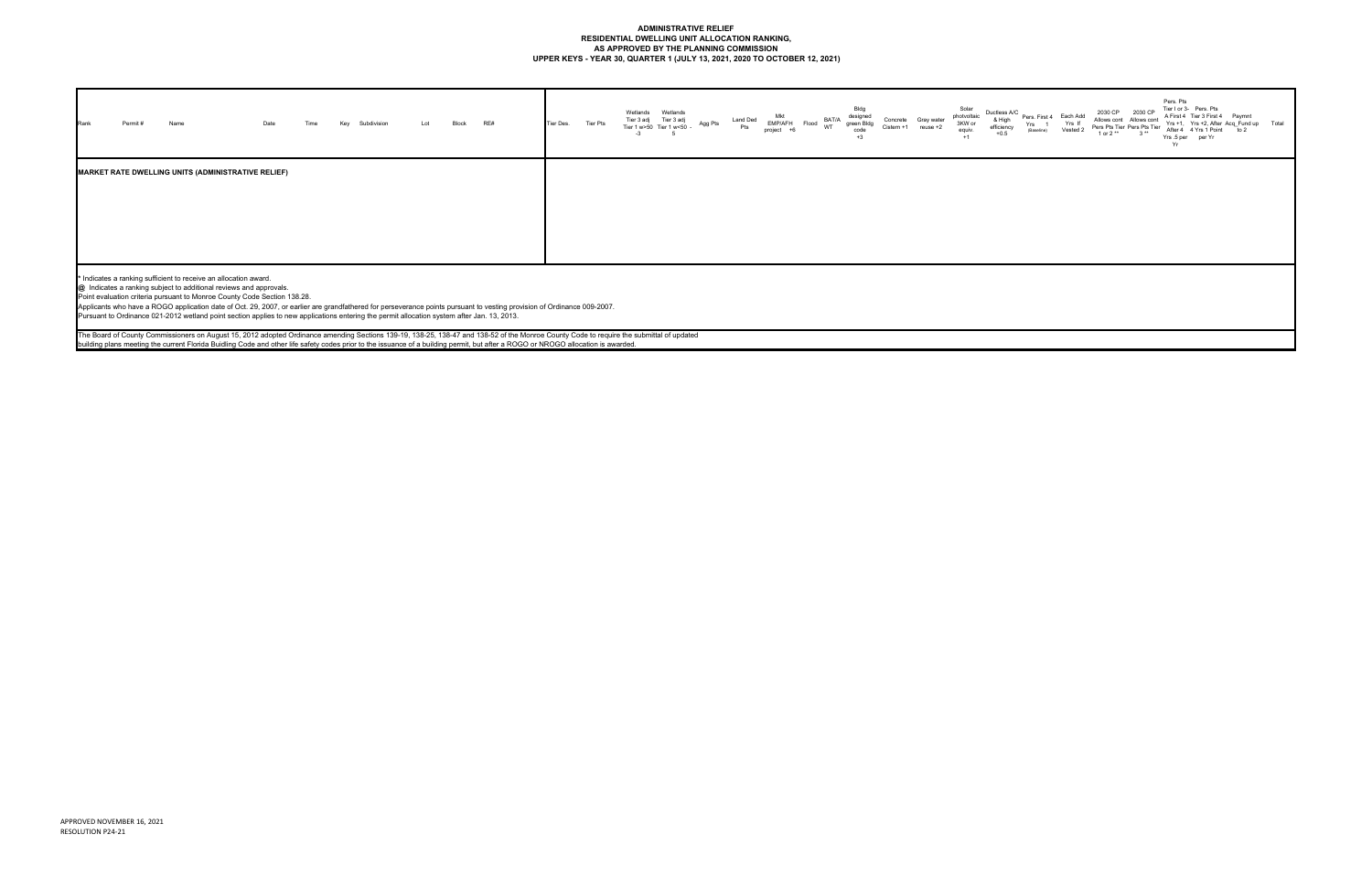# **ADMINISTRATIVE RELIEF RESIDENTIAL DWELLING UNIT ALLOCATION RANKING, AS APPROVED BY THE PLANNING COMMISSION UPPER KEYS - YEAR 30, QUARTER 1 (JULY 13, 2021, 2020 TO OCTOBER 12, 2021)**

| Rank | Permit# | Name |                                                                                                                                        |  | Subdivision                                                                                                                                 | Lot | Block | RE#                                                                                                                                                                                                                                                                                                                                                                           | Tier Des. | Tier Pts | Wetlands<br>Tier 3 adj | Wetlands<br>Tier 3 adj<br>Tier 1 w>50 Tier 1 w<50 | Agg Pts | Land Ded<br>Pts | EMP/AFH<br>project | BAT/A<br>Flood | Bldg<br>designed<br>green Bldg<br>code<br>$+3$ | Concrete<br>Cistern +1 | Gray water | Solar<br>photvoltaic<br>3KW or<br>equiv.<br>$+1$ | Ductless A/C<br>& High<br>efficiency<br>$+0.5$ | Yrs<br>(Baseline) | Pers. First 4 Each Add<br>Yrs If<br>Vested 2 | 2030 CP<br>1 or $2**$ | 2030 CP<br>Allows cont Allows cont<br>Pers Pts Tier Pers Pts Tier | Pers. Pts<br>Yrs.5 per per Yr<br>Yr | Tier I or 3- Pers. Pts<br>A First 4 Tier 3 First 4 Paymnt<br>Yrs +1, Yrs +2, After Acq_Fund up Total<br>After 4 4 Yrs 1 Point to 2 |  |
|------|---------|------|----------------------------------------------------------------------------------------------------------------------------------------|--|---------------------------------------------------------------------------------------------------------------------------------------------|-----|-------|-------------------------------------------------------------------------------------------------------------------------------------------------------------------------------------------------------------------------------------------------------------------------------------------------------------------------------------------------------------------------------|-----------|----------|------------------------|---------------------------------------------------|---------|-----------------|--------------------|----------------|------------------------------------------------|------------------------|------------|--------------------------------------------------|------------------------------------------------|-------------------|----------------------------------------------|-----------------------|-------------------------------------------------------------------|-------------------------------------|------------------------------------------------------------------------------------------------------------------------------------|--|
|      |         |      | <b>MARKET RATE DWELLING UNITS (ADMINISTRATIVE RELIEF)</b>                                                                              |  |                                                                                                                                             |     |       |                                                                                                                                                                                                                                                                                                                                                                               |           |          |                        |                                                   |         |                 |                    |                |                                                |                        |            |                                                  |                                                |                   |                                              |                       |                                                                   |                                     |                                                                                                                                    |  |
|      |         |      |                                                                                                                                        |  |                                                                                                                                             |     |       |                                                                                                                                                                                                                                                                                                                                                                               |           |          |                        |                                                   |         |                 |                    |                |                                                |                        |            |                                                  |                                                |                   |                                              |                       |                                                                   |                                     |                                                                                                                                    |  |
|      |         |      |                                                                                                                                        |  |                                                                                                                                             |     |       |                                                                                                                                                                                                                                                                                                                                                                               |           |          |                        |                                                   |         |                 |                    |                |                                                |                        |            |                                                  |                                                |                   |                                              |                       |                                                                   |                                     |                                                                                                                                    |  |
|      |         |      |                                                                                                                                        |  |                                                                                                                                             |     |       |                                                                                                                                                                                                                                                                                                                                                                               |           |          |                        |                                                   |         |                 |                    |                |                                                |                        |            |                                                  |                                                |                   |                                              |                       |                                                                   |                                     |                                                                                                                                    |  |
|      |         |      |                                                                                                                                        |  |                                                                                                                                             |     |       |                                                                                                                                                                                                                                                                                                                                                                               |           |          |                        |                                                   |         |                 |                    |                |                                                |                        |            |                                                  |                                                |                   |                                              |                       |                                                                   |                                     |                                                                                                                                    |  |
|      |         |      | * Indicates a ranking sufficient to receive an allocation award.<br>@ Indicates a ranking subject to additional reviews and approvals. |  |                                                                                                                                             |     |       |                                                                                                                                                                                                                                                                                                                                                                               |           |          |                        |                                                   |         |                 |                    |                |                                                |                        |            |                                                  |                                                |                   |                                              |                       |                                                                   |                                     |                                                                                                                                    |  |
|      |         |      | Point evaluation criteria pursuant to Monroe County Code Section 138.28.                                                               |  |                                                                                                                                             |     |       | Applicants who have a ROGO application date of Oct. 29, 2007, or earlier are grandfathered for perseverance points pursuant to vesting provision of Ordinance 009-2007.                                                                                                                                                                                                       |           |          |                        |                                                   |         |                 |                    |                |                                                |                        |            |                                                  |                                                |                   |                                              |                       |                                                                   |                                     |                                                                                                                                    |  |
|      |         |      |                                                                                                                                        |  | Pursuant to Ordinance 021-2012 wetland point section applies to new applications entering the permit allocation system after Jan. 13, 2013. |     |       |                                                                                                                                                                                                                                                                                                                                                                               |           |          |                        |                                                   |         |                 |                    |                |                                                |                        |            |                                                  |                                                |                   |                                              |                       |                                                                   |                                     |                                                                                                                                    |  |
|      |         |      |                                                                                                                                        |  |                                                                                                                                             |     |       | The Board of County Commissioners on August 15, 2012 adopted Ordinance amending Sections 139-19, 138-25, 138-47 and 138-52 of the Monroe County Code to require the submittal of updated<br>building plans meeting the current Florida Buidling Code and other life safety codes prior to the issuance of a building permit, but after a ROGO or NROGO allocation is awarded. |           |          |                        |                                                   |         |                 |                    |                |                                                |                        |            |                                                  |                                                |                   |                                              |                       |                                                                   |                                     |                                                                                                                                    |  |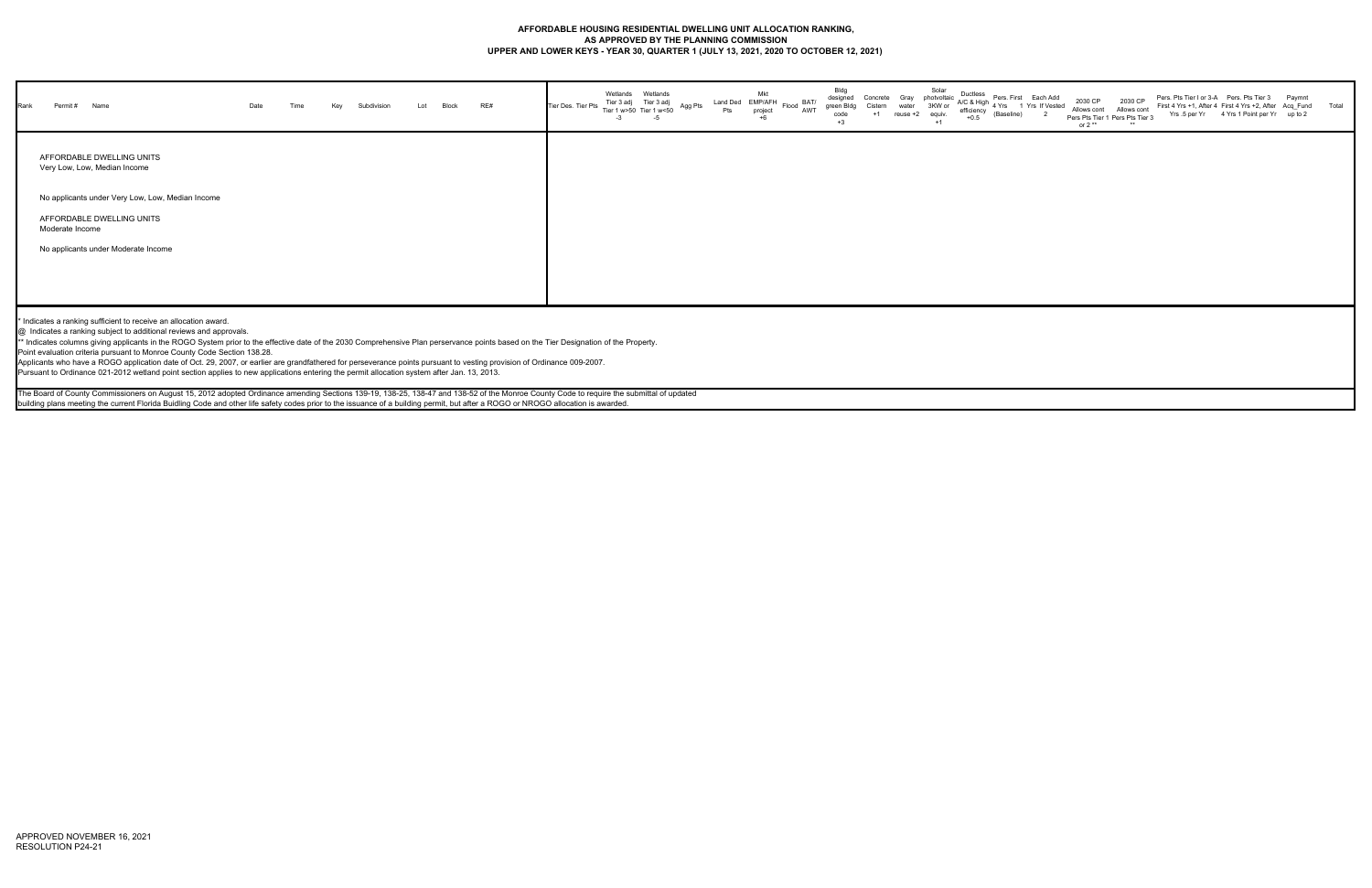### **AFFORDABLE HOUSING RESIDENTIAL DWELLING UNIT ALLOCATION RANKING, AS APPROVED BY THE PLANNING COMMISSION UPPER AND LOWER KEYS - YEAR 30, QUARTER 1 (JULY 13, 2021, 2020 TO OCTOBER 12, 2021)**

| Rank | Name<br>Permit #                                                                                                                                                                                                                                                                                                                                                                                                                                                                                                                                                                                                                                                                                                                       | Date | Time | Key | Subdivision | Lot | Block | RE# | Tier Des. Tier Pts | Wetlands<br>$-3$ | Wetlands<br>Tier 3 adj Tier 3 adj<br>Tier 1 w>50 Tier 1 w<50 | Agg Pts | Land Ded EMP/AFH<br>Pts | Mkt<br>project<br>$+6$ | $Flood$ $_{\Lambda MTT}^{BAT/}$<br>AWT | Bldg<br>designed<br>green Bldg<br>code<br>$+3$ | $+1$ | reuse +2 | Solar<br>equiv.<br>$+1$ | efficiency<br>$+0.5$ | (Baseline) | Concrete Gray photvoltaic $AC & High$ Pers. First Law Nosted | 2030 CP<br>or $2**$ | 2030 CP<br>Allows cont Allows cont<br>Pers Pts Tier 1 Pers Pts Tier 3<br>** |  | Pers. Pts Tier I or 3-A Pers. Pts Tier 3 Paymnt<br>First 4 Yrs +1, After 4 First 4 Yrs +2, After Acq_Fund Total<br>Yrs .5 per Yr 4 Yrs 1 Point per Yr up to 2 |  |
|------|----------------------------------------------------------------------------------------------------------------------------------------------------------------------------------------------------------------------------------------------------------------------------------------------------------------------------------------------------------------------------------------------------------------------------------------------------------------------------------------------------------------------------------------------------------------------------------------------------------------------------------------------------------------------------------------------------------------------------------------|------|------|-----|-------------|-----|-------|-----|--------------------|------------------|--------------------------------------------------------------|---------|-------------------------|------------------------|----------------------------------------|------------------------------------------------|------|----------|-------------------------|----------------------|------------|--------------------------------------------------------------|---------------------|-----------------------------------------------------------------------------|--|---------------------------------------------------------------------------------------------------------------------------------------------------------------|--|
|      | AFFORDABLE DWELLING UNITS<br>Very Low, Low, Median Income                                                                                                                                                                                                                                                                                                                                                                                                                                                                                                                                                                                                                                                                              |      |      |     |             |     |       |     |                    |                  |                                                              |         |                         |                        |                                        |                                                |      |          |                         |                      |            |                                                              |                     |                                                                             |  |                                                                                                                                                               |  |
|      | No applicants under Very Low, Low, Median Income                                                                                                                                                                                                                                                                                                                                                                                                                                                                                                                                                                                                                                                                                       |      |      |     |             |     |       |     |                    |                  |                                                              |         |                         |                        |                                        |                                                |      |          |                         |                      |            |                                                              |                     |                                                                             |  |                                                                                                                                                               |  |
|      | AFFORDABLE DWELLING UNITS<br>Moderate Income                                                                                                                                                                                                                                                                                                                                                                                                                                                                                                                                                                                                                                                                                           |      |      |     |             |     |       |     |                    |                  |                                                              |         |                         |                        |                                        |                                                |      |          |                         |                      |            |                                                              |                     |                                                                             |  |                                                                                                                                                               |  |
|      | No applicants under Moderate Income                                                                                                                                                                                                                                                                                                                                                                                                                                                                                                                                                                                                                                                                                                    |      |      |     |             |     |       |     |                    |                  |                                                              |         |                         |                        |                                        |                                                |      |          |                         |                      |            |                                                              |                     |                                                                             |  |                                                                                                                                                               |  |
|      |                                                                                                                                                                                                                                                                                                                                                                                                                                                                                                                                                                                                                                                                                                                                        |      |      |     |             |     |       |     |                    |                  |                                                              |         |                         |                        |                                        |                                                |      |          |                         |                      |            |                                                              |                     |                                                                             |  |                                                                                                                                                               |  |
|      |                                                                                                                                                                                                                                                                                                                                                                                                                                                                                                                                                                                                                                                                                                                                        |      |      |     |             |     |       |     |                    |                  |                                                              |         |                         |                        |                                        |                                                |      |          |                         |                      |            |                                                              |                     |                                                                             |  |                                                                                                                                                               |  |
|      | * Indicates a ranking sufficient to receive an allocation award.<br>@ Indicates a ranking subject to additional reviews and approvals.<br>** Indicates columns giving applicants in the ROGO System prior to the effective date of the 2030 Comprehensive Plan perservance points based on the Tier Designation of the Property.<br>Point evaluation criteria pursuant to Monroe County Code Section 138.28.<br>Applicants who have a ROGO application date of Oct. 29, 2007, or earlier are grandfathered for perseverance points pursuant to vesting provision of Ordinance 009-2007.<br>Pursuant to Ordinance 021-2012 wetland point section applies to new applications entering the permit allocation system after Jan. 13, 2013. |      |      |     |             |     |       |     |                    |                  |                                                              |         |                         |                        |                                        |                                                |      |          |                         |                      |            |                                                              |                     |                                                                             |  |                                                                                                                                                               |  |
|      | The Board of County Commissioners on August 15, 2012 adopted Ordinance amending Sections 139-19, 138-25, 138-47 and 138-52 of the Monroe County Code to require the submittal of updated                                                                                                                                                                                                                                                                                                                                                                                                                                                                                                                                               |      |      |     |             |     |       |     |                    |                  |                                                              |         |                         |                        |                                        |                                                |      |          |                         |                      |            |                                                              |                     |                                                                             |  |                                                                                                                                                               |  |
|      | building plans meeting the current Florida Buidling Code and other life safety codes prior to the issuance of a building permit, but after a ROGO or NROGO allocation is awarded.                                                                                                                                                                                                                                                                                                                                                                                                                                                                                                                                                      |      |      |     |             |     |       |     |                    |                  |                                                              |         |                         |                        |                                        |                                                |      |          |                         |                      |            |                                                              |                     |                                                                             |  |                                                                                                                                                               |  |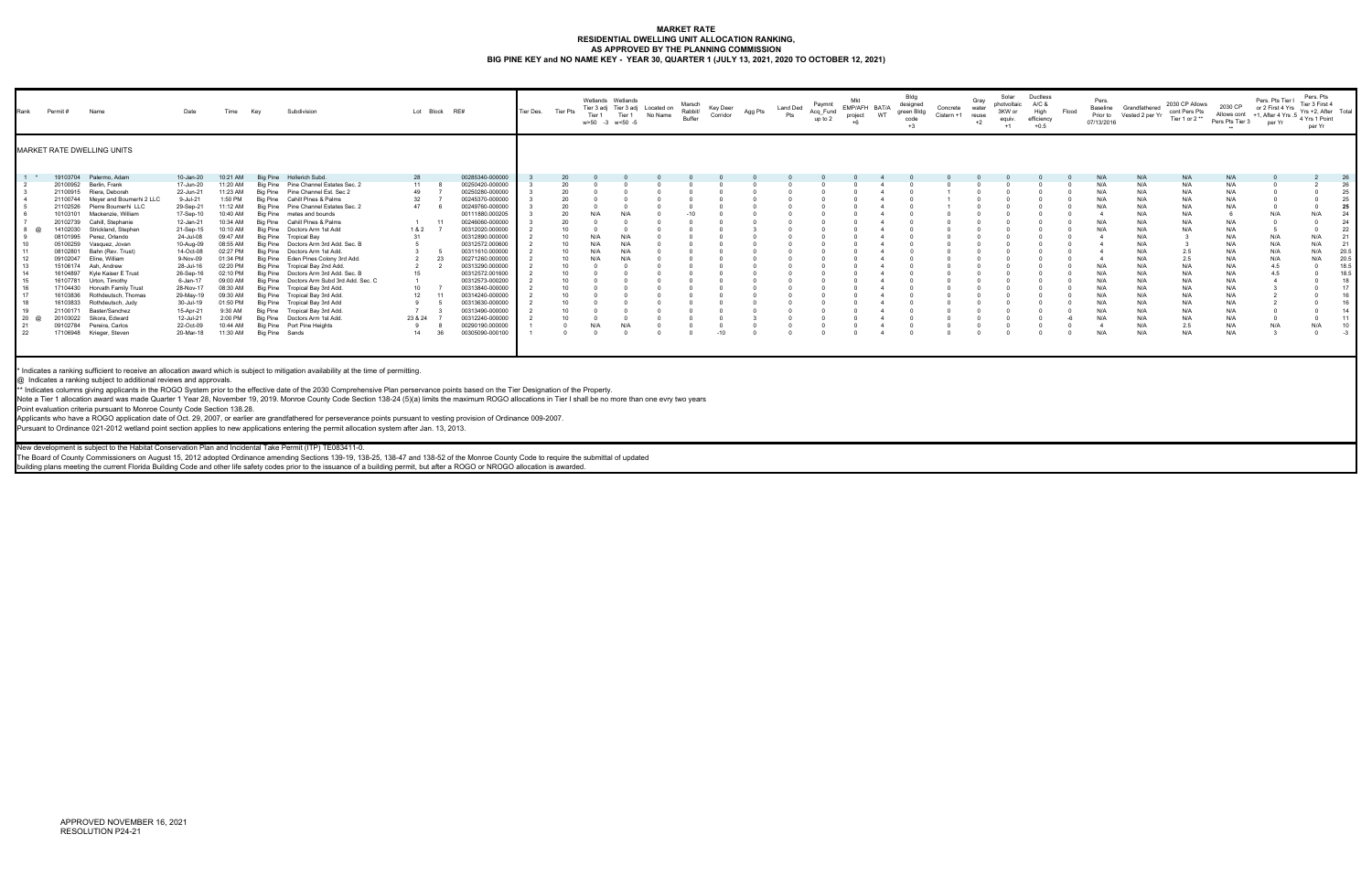## **MARKET RATE RESIDENTIAL DWELLING UNIT ALLOCATION RANKING,** AS APPROVED BY THE PLANNING COMMISSION<br>BIG PINE KEY and NO NAME KEY - YEAR 30, QUARTER 1 (JULY 13, 2021, 2020 TO OCTOBER 12, 2021)

| Rank                                                                             | Permit #                                                                                                                                                                                                                                                             | Name                                                                                                                                                                                                                                                                                                                                                                                                                                                          | Date                                                                                                                                                                                                                                                                                    | Time                                                                                                                                                                                                                                                              | Key                                                                                     | Subdivision                                                                                                                                                                                                                                                                                                                                                                                                                                                                                                                                                                                                                                                                                                                                                                                                                                                                | Lot Block RE#                                                                |                                                                                                                                                                                                                                                                                                                                                                                                                                                    | Tier Des. | <b>Tier Pts</b>      | Tier 1<br>w>50 -3 w<50 -5 | Wetlands Wetlands<br>Tier 3 adj Tier 3 adj Located on<br>Tier 1 | No Name | Marsch<br>Rabbit/<br>Buffer | Key Deer<br>Corridor | Agg Pts | Land Ded<br>Pts | Paymnt<br>Acq_Fund<br>up to 2 | Mkt<br>EMP/AFH BAT/A<br>project | <b>WT</b> | Bldg<br>designed<br>green Bldg<br>code<br>$+3$ | Concrete<br>Cistern +1 | Gray<br>water<br>reuse<br>$+2$ | Solar<br>photvoltaic<br>3KW or<br>equiv.<br>$+1$ | Ductless<br>A/C &<br>High<br>efficiency<br>$+0.5$ | Flood | Pers.<br>Baseline<br>Prior to<br>07/13/2016                                                                  | Grandfathered<br>Vested 2 per Yr                                                                                                                       | 2030 CP Allows<br>cont Pers Pts<br>Tier 1 or 2**                                                                                         | 2030 CP<br>Allows cont $+1$ .<br>Pers Pts Tier 3                                                                                                | Pers. Pts Tier I<br>or 2 First 4 Yrs<br>per Yr                                   | Pers. Pts<br>Tier 3 First 4<br>Yrs +2, After Total<br>1, After 4 Yrs $.5$ $_4$ Yrs 1 Point<br>per Yr |                                                                                                                                            |
|----------------------------------------------------------------------------------|----------------------------------------------------------------------------------------------------------------------------------------------------------------------------------------------------------------------------------------------------------------------|---------------------------------------------------------------------------------------------------------------------------------------------------------------------------------------------------------------------------------------------------------------------------------------------------------------------------------------------------------------------------------------------------------------------------------------------------------------|-----------------------------------------------------------------------------------------------------------------------------------------------------------------------------------------------------------------------------------------------------------------------------------------|-------------------------------------------------------------------------------------------------------------------------------------------------------------------------------------------------------------------------------------------------------------------|-----------------------------------------------------------------------------------------|----------------------------------------------------------------------------------------------------------------------------------------------------------------------------------------------------------------------------------------------------------------------------------------------------------------------------------------------------------------------------------------------------------------------------------------------------------------------------------------------------------------------------------------------------------------------------------------------------------------------------------------------------------------------------------------------------------------------------------------------------------------------------------------------------------------------------------------------------------------------------|------------------------------------------------------------------------------|----------------------------------------------------------------------------------------------------------------------------------------------------------------------------------------------------------------------------------------------------------------------------------------------------------------------------------------------------------------------------------------------------------------------------------------------------|-----------|----------------------|---------------------------|-----------------------------------------------------------------|---------|-----------------------------|----------------------|---------|-----------------|-------------------------------|---------------------------------|-----------|------------------------------------------------|------------------------|--------------------------------|--------------------------------------------------|---------------------------------------------------|-------|--------------------------------------------------------------------------------------------------------------|--------------------------------------------------------------------------------------------------------------------------------------------------------|------------------------------------------------------------------------------------------------------------------------------------------|-------------------------------------------------------------------------------------------------------------------------------------------------|----------------------------------------------------------------------------------|------------------------------------------------------------------------------------------------------|--------------------------------------------------------------------------------------------------------------------------------------------|
|                                                                                  |                                                                                                                                                                                                                                                                      | <b>MARKET RATE DWELLING UNITS</b>                                                                                                                                                                                                                                                                                                                                                                                                                             |                                                                                                                                                                                                                                                                                         |                                                                                                                                                                                                                                                                   |                                                                                         |                                                                                                                                                                                                                                                                                                                                                                                                                                                                                                                                                                                                                                                                                                                                                                                                                                                                            |                                                                              |                                                                                                                                                                                                                                                                                                                                                                                                                                                    |           |                      |                           |                                                                 |         |                             |                      |         |                 |                               |                                 |           |                                                |                        |                                |                                                  |                                                   |       |                                                                                                              |                                                                                                                                                        |                                                                                                                                          |                                                                                                                                                 |                                                                                  |                                                                                                      |                                                                                                                                            |
| $1 *$<br>$\omega$<br>$10^{-1}$<br>12<br>14<br>17<br>18<br>19<br>20 @<br>21<br>22 | 19103704<br>20100952<br>21100915<br>21100744<br>21102526<br>10103101<br>20102739<br>14102030<br>08101995<br>05100259<br>08102801<br>09102047<br>15106174<br>16104897<br>16107781<br>17104430<br>16103836<br>16103833<br>21100171<br>20103022<br>09102784<br>17106948 | Palermo, Adam<br>Berlin, Frank<br>Riera, Deborah<br>Meyer and Boumerhi 2 LLC<br>Pierre Boumerhi LLC<br>Mackenzie, William<br>Cahill, Stephanie<br>Strickland, Stephen<br>Perez. Orlando<br>Vasquez, Jovan<br>Bahn (Rev. Trust)<br>Eline, William<br>Ash, Andrew<br>Kyle Kaiser E Trust<br>Urton, Timothy<br><b>Horvath Family Trust</b><br>Rothdeutsch, Thomas<br>Rothdeutsch, Judy<br>Baster/Sanchez<br>Sikora, Edward<br>Pereira, Carlos<br>Krieger, Steven | 10-Jan-20<br>17-Jun-20<br>22-Jun-21<br>9-Jul-21<br>29-Sep-21<br>17-Sep-10<br>12-Jan-21<br>21-Sep-15<br>24-Jul-08<br>10-Aug-09<br>14-Oct-08<br>9-Nov-09<br>28-Jul-16<br>26-Sep-16<br>6-Jan-17<br>28-Nov-17<br>29-May-19<br>30-Jul-19<br>15-Apr-21<br>12-Jul-21<br>22-Oct-09<br>20-Mar-18 | 10:21 AM<br>11:20 AM<br>11:23 AM<br>1:50 PM<br>11:12 AM<br>10:40 AM<br>10:34 AM<br>10:10 AM<br>09:47 AM<br>08:55 AM<br>02:27 PM<br>01:34 PM<br>02:20 PM<br>02:10 PM<br>09:00 AM<br>08:30 AM<br>09:30 AM<br>01:50 PM<br>9:30 AM<br>2:00 PM<br>10:44 AM<br>11:30 AM | <b>Big Pine</b><br>Big Pine<br>Big Pine<br>Bia Pine<br>Bia Pine<br>Bia Pine<br>Big Pine | Hollerich Subd.<br>Big Pine Pine Channel Estates Sec. 2<br>Pine Channel Est. Sec 2<br>Big Pine Cahill Pines & Palms<br>Big Pine Pine Channel Estates Sec. 2<br>Big Pine metes and bounds<br>Big Pine Cahill Pines & Palms<br>Big Pine Doctors Arm 1st Add<br>Big Pine Tropical Bay<br>Doctors Arm 3rd Add. Sec. E<br>Doctors Arm 1st Add<br>Eden Pines Colony 3rd Add.<br>Tropical Bay 2nd Add.<br>Big Pine Doctors Arm 3rd Add. Sec.<br>Doctors Arm Subd 3rd Add. Sec. C<br>Big Pine Tropical Bay 3rd Add.<br>Big Pine Tropical Bay 3rd Add.<br>Big Pine Tropical Bay 3rd Add<br>Big Pine Tropical Bay 3rd Add<br>Big Pine Doctors Arm 1st Add.<br>Big Pine Port Pine Heights<br>Big Pine Sands                                                                                                                                                                           | 28<br>11<br>49<br>32<br>47<br>1 & 2<br>31<br>15<br>10<br>12<br>23 & 24<br>14 | 00285340-000000<br>00250420-000000<br>00250280-000000<br>00245370-000000<br>00249760-000000<br>00111880.000205<br>00246060-000000<br>00312020.000000<br>00312890.000000<br>00312572.000600<br>00311610.000000<br>00271260.000000<br>-23<br>00313290.000000<br>00312572.001600<br>00312573-000200<br>00313840-000000<br>00314240-000000<br>11<br>00313630-000000<br>00313490-000000<br>00312240-000000<br>00290190.000000<br>00305090-000100<br>-36 |           | 20<br>20<br>20<br>10 | N/A<br>N/A<br>N/A<br>N/A  | N/A<br>N/A<br>N/A<br>N/A<br>N/A<br>N/A                          |         | $-10$                       |                      |         |                 |                               |                                 |           |                                                |                        |                                |                                                  |                                                   |       | N/A<br>N/A<br>N/A<br>N/A<br>N/A<br>N/A<br>N/A<br>N/A<br>N/A<br>N/A<br>N/A<br>N/A<br>N/A<br>N/A<br>N/A<br>N/A | N/A<br>N/A<br>N/A<br>N/A<br>N/A<br>N/A<br>N/A<br>N/A<br>N/A<br>N/A<br>N/A<br>N/A<br>N/A<br>N/A<br>N/A<br>N/A<br>N/A<br>N/A<br>N/A<br>N/A<br>N/A<br>N/A | N/A<br>N/A<br>N/A<br>N/A<br>N/A<br>N/A<br>N/A<br>N/A<br>2.5<br>2.5<br>N/A<br>N/A<br>N/A<br>N/A<br>N/A<br>N/A<br>N/A<br>N/A<br>2.5<br>N/A | N/A<br>N/A<br>N/A<br>N/A<br>N/A<br>N/A<br>N/A<br>N/A<br>N/A<br>N/A<br>N/A<br>N/A<br>N/A<br>N/A<br>N/A<br>N/A<br>N/A<br>N/A<br>N/A<br>N/A<br>N/A | N/A<br>$\Omega$<br>N/A<br>N/A<br>N/A<br>N/A<br>4.5<br>4.5<br>N/A<br>$\mathbf{3}$ | N/A<br>N/A<br>N/A<br>N/A<br>N/A<br>N/A                                                               | 26<br>26<br>25<br>25<br>25<br>24<br>24<br>22<br>21<br>21<br>20.5<br>20.5<br>18.5<br>18.5<br>18<br>17<br>16<br>16<br>14<br>11<br>10<br>$-3$ |
|                                                                                  |                                                                                                                                                                                                                                                                      | @ Indicates a ranking subject to additional reviews and approvals<br>Point evaluation criteria pursuant to Monroe County Code Section 138.28                                                                                                                                                                                                                                                                                                                  |                                                                                                                                                                                                                                                                                         |                                                                                                                                                                                                                                                                   |                                                                                         | * Indicates a ranking sufficient to receive an allocation award which is subject to mitigation availability at the time of permitting.<br>** Indicates columns giving applicants in the ROGO System prior to the effective date of the 2030 Comprehensive Plan perservance points based on the Tier Designation of the Property<br>Note a Tier 1 allocation award was made Quarter 1 Year 28, November 19, 2019. Monroe County Code Section 138-24 (5)(a) limits the maximum ROGO allocations in Tier I shall be no more than one evry two years<br>Applicants who have a ROGO application date of Oct. 29, 2007, or earlier are grandfathered for perseverance points pursuant to vesting provision of Ordinance 009-2007.<br>Pursuant to Ordinance 021-2012 wetland point section applies to new applications entering the permit allocation system after Jan. 13, 2013. |                                                                              |                                                                                                                                                                                                                                                                                                                                                                                                                                                    |           |                      |                           |                                                                 |         |                             |                      |         |                 |                               |                                 |           |                                                |                        |                                |                                                  |                                                   |       |                                                                                                              |                                                                                                                                                        |                                                                                                                                          |                                                                                                                                                 |                                                                                  |                                                                                                      |                                                                                                                                            |

New development is subject to the Habitat Conservation Plan and Incidental Take Permit (ITP) TE083411-0.

The Board of County Commissioners on August 15, 2012 adopted Ordinance amending Sections 139-19, 138-25, 138-47 and 138-52 of the Monroe County Code to require the submittal of updated

building plans meeting the current Florida Building Code and other life safety codes prior to the issuance of a building permit, but after a ROGO or NROGO allocation is awarded.